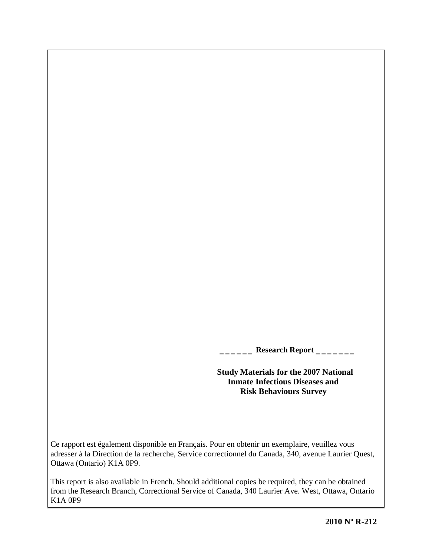**\_\_\_\_\_\_ Research Report \_\_\_\_\_\_\_**

 **Study Materials for the 2007 National Inmate Infectious Diseases and Risk Behaviours Survey**

Ce rapport est également disponible en Français. Pour en obtenir un exemplaire, veuillez vous adresser à la Direction de la recherche, Service correctionnel du Canada, 340, avenue Laurier Quest, Ottawa (Ontario) K1A 0P9.

This report is also available in French. Should additional copies be required, they can be obtained from the Research Branch, Correctional Service of Canada, 340 Laurier Ave. West, Ottawa, Ontario K1A 0P9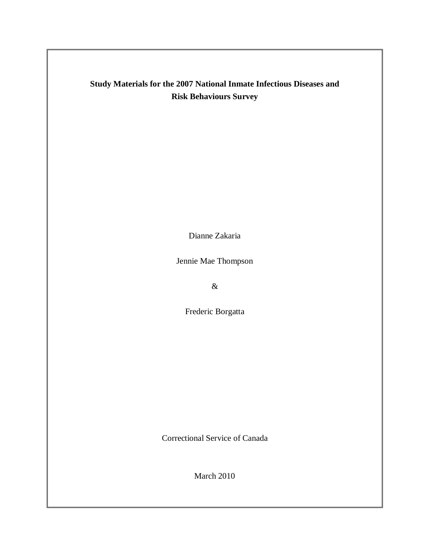## **Study Materials for the 2007 National Inmate Infectious Diseases and Risk Behaviours Survey**

Dianne Zakaria

Jennie Mae Thompson

 $\&$ 

Frederic Borgatta

Correctional Service of Canada

March 2010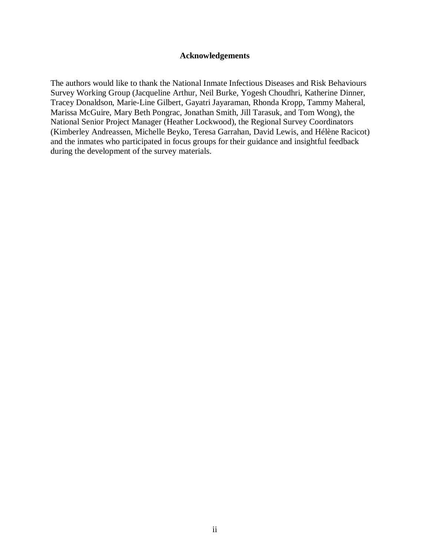#### **Acknowledgements**

<span id="page-4-0"></span>The authors would like to thank the National Inmate Infectious Diseases and Risk Behaviours Survey Working Group (Jacqueline Arthur, Neil Burke, Yogesh Choudhri, Katherine Dinner, Tracey Donaldson, Marie-Line Gilbert, Gayatri Jayaraman, Rhonda Kropp, Tammy Maheral, Marissa McGuire, Mary Beth Pongrac, Jonathan Smith, Jill Tarasuk, and Tom Wong), the National Senior Project Manager (Heather Lockwood), the Regional Survey Coordinators (Kimberley Andreassen, Michelle Beyko, Teresa Garrahan, David Lewis, and Hélène Racicot) and the inmates who participated in focus groups for their guidance and insightful feedback during the development of the survey materials.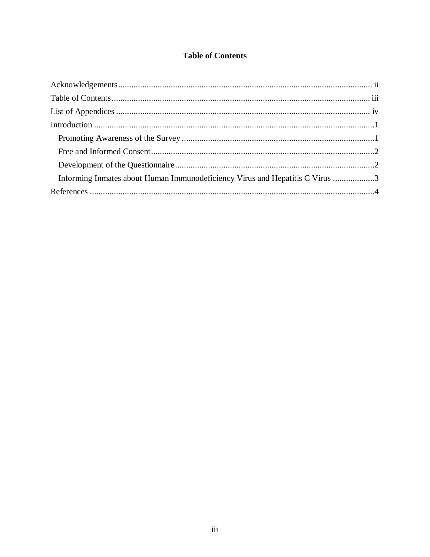#### **Table of Contents**

<span id="page-6-0"></span>

| Informing Inmates about Human Immunodeficiency Virus and Hepatitis C Virus 3 |  |
|------------------------------------------------------------------------------|--|
|                                                                              |  |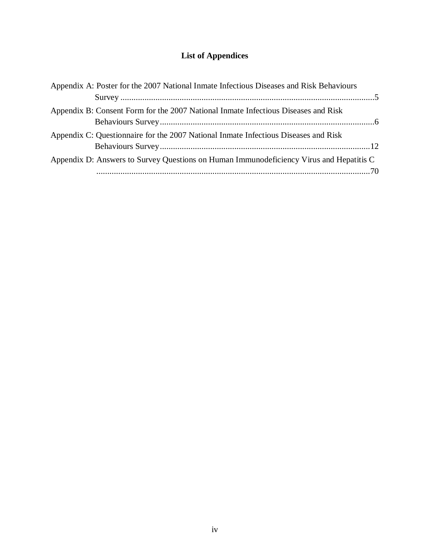## **List of Appendices**

<span id="page-8-0"></span>

| Appendix A: Poster for the 2007 National Inmate Infectious Diseases and Risk Behaviours |  |
|-----------------------------------------------------------------------------------------|--|
|                                                                                         |  |
| Appendix B: Consent Form for the 2007 National Inmate Infectious Diseases and Risk      |  |
| Appendix C: Questionnaire for the 2007 National Inmate Infectious Diseases and Risk     |  |
| Appendix D: Answers to Survey Questions on Human Immunodeficiency Virus and Hepatitis C |  |
|                                                                                         |  |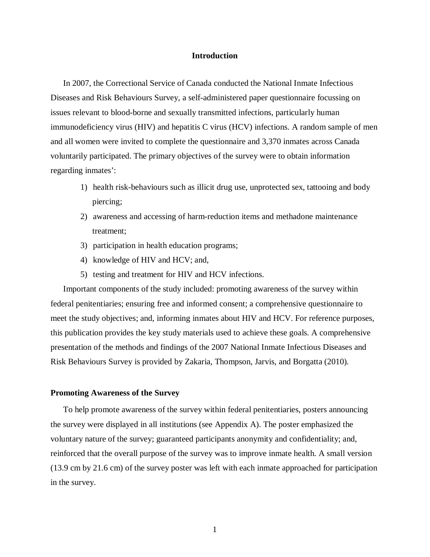#### **Introduction**

<span id="page-10-0"></span>In 2007, the Correctional Service of Canada conducted the National Inmate Infectious Diseases and Risk Behaviours Survey, a self-administered paper questionnaire focussing on issues relevant to blood-borne and sexually transmitted infections, particularly human immunodeficiency virus (HIV) and hepatitis C virus (HCV) infections. A random sample of men and all women were invited to complete the questionnaire and 3,370 inmates across Canada voluntarily participated. The primary objectives of the survey were to obtain information regarding inmates':

- 1) health risk-behaviours such as illicit drug use, unprotected sex, tattooing and body piercing;
- 2) awareness and accessing of harm-reduction items and methadone maintenance treatment;
- 3) participation in health education programs;
- 4) knowledge of HIV and HCV; and,
- 5) testing and treatment for HIV and HCV infections.

Important components of the study included: promoting awareness of the survey within federal penitentiaries; ensuring free and informed consent; a comprehensive questionnaire to meet the study objectives; and, informing inmates about HIV and HCV. For reference purposes, this publication provides the key study materials used to achieve these goals. A comprehensive presentation of the methods and findings of the 2007 National Inmate Infectious Diseases and Risk Behaviours Survey is provided by Zakaria, Thompson, Jarvis, and Borgatta (2010).

#### <span id="page-10-1"></span>**Promoting Awareness of the Survey**

To help promote awareness of the survey within federal penitentiaries, posters announcing the survey were displayed in all institutions (see Appendix A). The poster emphasized the voluntary nature of the survey; guaranteed participants anonymity and confidentiality; and, reinforced that the overall purpose of the survey was to improve inmate health. A small version (13.9 cm by 21.6 cm) of the survey poster was left with each inmate approached for participation in the survey.

1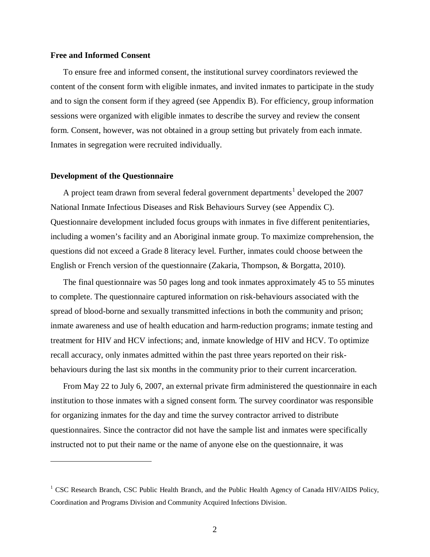#### <span id="page-11-0"></span>**Free and Informed Consent**

To ensure free and informed consent, the institutional survey coordinators reviewed the content of the consent form with eligible inmates, and invited inmates to participate in the study and to sign the consent form if they agreed (see Appendix B). For efficiency, group information sessions were organized with eligible inmates to describe the survey and review the consent form. Consent, however, was not obtained in a group setting but privately from each inmate. Inmates in segregation were recruited individually.

#### <span id="page-11-1"></span>**Development of the Questionnaire**

 $\overline{a}$ 

A project team drawn from several federal government departments<sup>[1](#page-11-2)</sup> developed the  $2007$ National Inmate Infectious Diseases and Risk Behaviours Survey (see Appendix C). Questionnaire development included focus groups with inmates in five different penitentiaries, including a women's facility and an Aboriginal inmate group. To maximize comprehension, the questions did not exceed a Grade 8 literacy level. Further, inmates could choose between the English or French version of the questionnaire (Zakaria, Thompson, & Borgatta, 2010).

The final questionnaire was 50 pages long and took inmates approximately 45 to 55 minutes to complete. The questionnaire captured information on risk-behaviours associated with the spread of blood-borne and sexually transmitted infections in both the community and prison; inmate awareness and use of health education and harm-reduction programs; inmate testing and treatment for HIV and HCV infections; and, inmate knowledge of HIV and HCV. To optimize recall accuracy, only inmates admitted within the past three years reported on their riskbehaviours during the last six months in the community prior to their current incarceration.

From May 22 to July 6, 2007, an external private firm administered the questionnaire in each institution to those inmates with a signed consent form. The survey coordinator was responsible for organizing inmates for the day and time the survey contractor arrived to distribute questionnaires. Since the contractor did not have the sample list and inmates were specifically instructed not to put their name or the name of anyone else on the questionnaire, it was

<span id="page-11-2"></span><sup>&</sup>lt;sup>1</sup> CSC Research Branch, CSC Public Health Branch, and the Public Health Agency of Canada HIV/AIDS Policy, Coordination and Programs Division and Community Acquired Infections Division.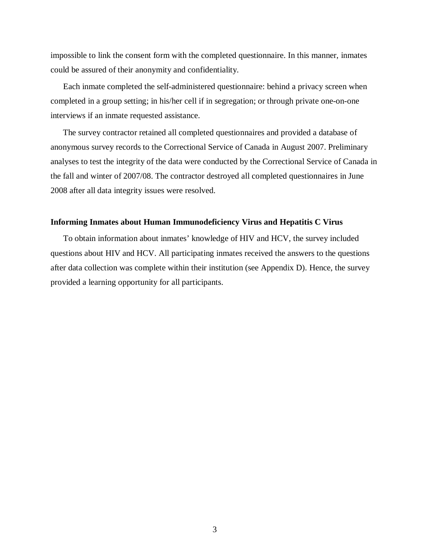impossible to link the consent form with the completed questionnaire. In this manner, inmates could be assured of their anonymity and confidentiality.

Each inmate completed the self-administered questionnaire: behind a privacy screen when completed in a group setting; in his/her cell if in segregation; or through private one-on-one interviews if an inmate requested assistance.

The survey contractor retained all completed questionnaires and provided a database of anonymous survey records to the Correctional Service of Canada in August 2007. Preliminary analyses to test the integrity of the data were conducted by the Correctional Service of Canada in the fall and winter of 2007/08. The contractor destroyed all completed questionnaires in June 2008 after all data integrity issues were resolved.

#### <span id="page-12-0"></span>**Informing Inmates about Human Immunodeficiency Virus and Hepatitis C Virus**

To obtain information about inmates' knowledge of HIV and HCV, the survey included questions about HIV and HCV. All participating inmates received the answers to the questions after data collection was complete within their institution (see Appendix D). Hence, the survey provided a learning opportunity for all participants.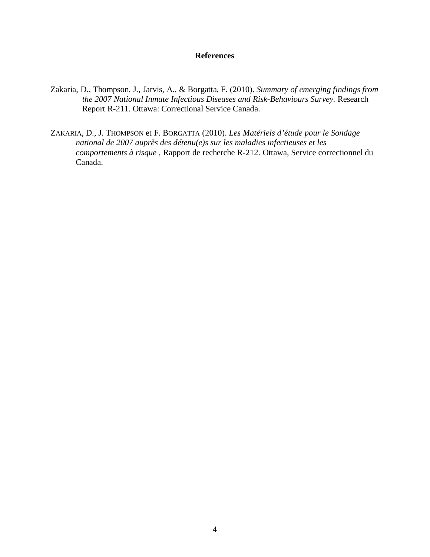#### **References**

- <span id="page-13-0"></span>Zakaria, D., Thompson, J., Jarvis, A., & Borgatta, F. (2010). *Summary of emerging findings from the 2007 National Inmate Infectious Diseases and Risk-Behaviours Survey.* Research Report R-211. Ottawa: Correctional Service Canada.
- ZAKARIA, D., J. THOMPSON et F. BORGATTA (2010). *Les Matériels d'étude pour le Sondage national de 2007 auprès des détenu(e)s sur les maladies infectieuses et les comportements à risque* , Rapport de recherche R-212. Ottawa, Service correctionnel du Canada.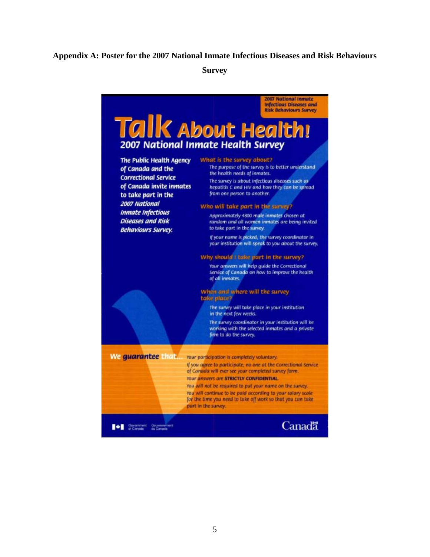#### <span id="page-14-0"></span>**Appendix A: Poster for the 2007 National Inmate Infectious Diseases and Risk Behaviours**

**Survey**

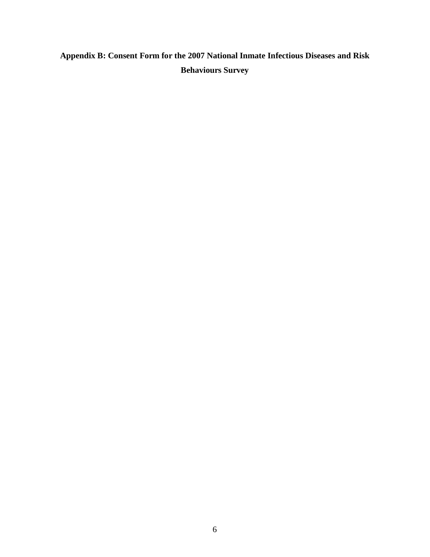# <span id="page-15-0"></span>**Appendix B: Consent Form for the 2007 National Inmate Infectious Diseases and Risk Behaviours Survey**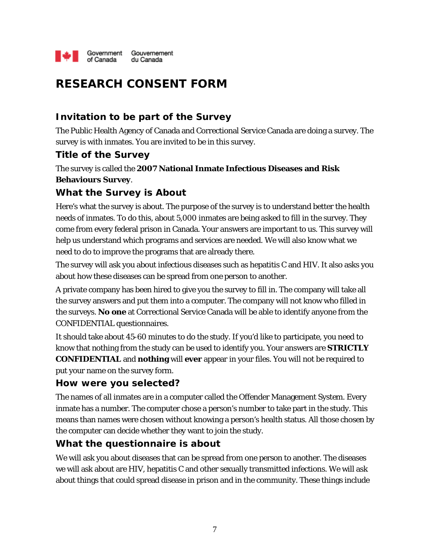

# **RESEARCH CONSENT FORM**

### **Invitation to be part of the Survey**

The Public Health Agency of Canada and Correctional Service Canada are doing a survey. The survey is with inmates. You are invited to be in this survey.

#### **Title of the Survey**

The survey is called the **2007 National Inmate Infectious Diseases and Risk Behaviours Survey**.

#### **What the Survey is About**

Here's what the survey is about. The purpose of the survey is to understand better the health needs of inmates. To do this, about 5,000 inmates are being asked to fill in the survey. They come from every federal prison in Canada. Your answers are important to us. This survey will help us understand which programs and services are needed. We will also know what we need to do to improve the programs that are already there.

The survey will ask you about infectious diseases such as hepatitis C and HIV. It also asks you about how these diseases can be spread from one person to another.

A private company has been hired to give you the survey to fill in. The company will take all the survey answers and put them into a computer. The company will not know who filled in the surveys. **No one** at Correctional Service Canada will be able to identify anyone from the CONFIDENTIAL questionnaires.

It should take about 45-60 minutes to do the study. If you'd like to participate, you need to know that nothing from the study can be used to identify you. Your answers are **STRICTLY CONFIDENTIAL** and **nothing** will **ever** appear in your files. You will not be required to put your name on the survey form.

#### **How were you selected?**

The names of all inmates are in a computer called the Offender Management System. Every inmate has a number. The computer chose a person's number to take part in the study. This means than names were chosen without knowing a person's health status. All those chosen by the computer can decide whether they want to join the study.

### **What the questionnaire is about**

We will ask you about diseases that can be spread from one person to another. The diseases we will ask about are HIV, hepatitis C and other sexually transmitted infections. We will ask about things that could spread disease in prison and in the community. These things include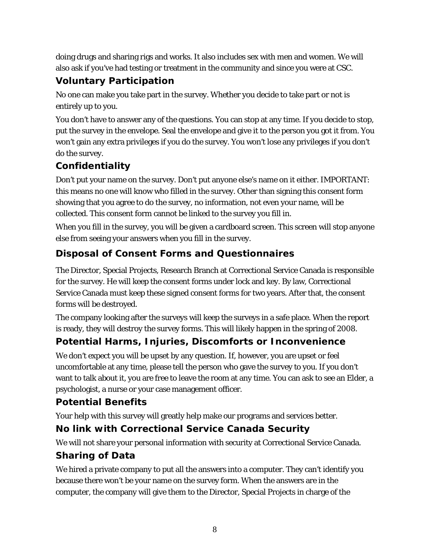doing drugs and sharing rigs and works. It also includes sex with men and women. We will also ask if you've had testing or treatment in the community and since you were at CSC.

## **Voluntary Participation**

No one can make you take part in the survey. Whether you decide to take part or not is entirely up to you.

You don't have to answer any of the questions. You can stop at any time. If you decide to stop, put the survey in the envelope. Seal the envelope and give it to the person you got it from. You won't gain any extra privileges if you do the survey. You won't lose any privileges if you don't do the survey.

# **Confidentiality**

Don't put your name on the survey. Don't put anyone else's name on it either. IMPORTANT: this means no one will know who filled in the survey. Other than signing this consent form showing that you agree to do the survey, no information, not even your name, will be collected. This consent form cannot be linked to the survey you fill in.

When you fill in the survey, you will be given a cardboard screen. This screen will stop anyone else from seeing your answers when you fill in the survey.

## **Disposal of Consent Forms and Questionnaires**

The Director, Special Projects, Research Branch at Correctional Service Canada is responsible for the survey. He will keep the consent forms under lock and key. By law, Correctional Service Canada must keep these signed consent forms for two years. After that, the consent forms will be destroyed.

The company looking after the surveys will keep the surveys in a safe place. When the report is ready, they will destroy the survey forms. This will likely happen in the spring of 2008.

# **Potential Harms, Injuries, Discomforts or Inconvenience**

We don't expect you will be upset by any question. If, however, you are upset or feel uncomfortable at any time, please tell the person who gave the survey to you. If you don't want to talk about it, you are free to leave the room at any time. You can ask to see an Elder, a psychologist, a nurse or your case management officer.

### **Potential Benefits**

Your help with this survey will greatly help make our programs and services better.

# **No link with Correctional Service Canada Security**

We will not share your personal information with security at Correctional Service Canada.

# **Sharing of Data**

We hired a private company to put all the answers into a computer. They can't identify you because there won't be your name on the survey form. When the answers are in the computer, the company will give them to the Director, Special Projects in charge of the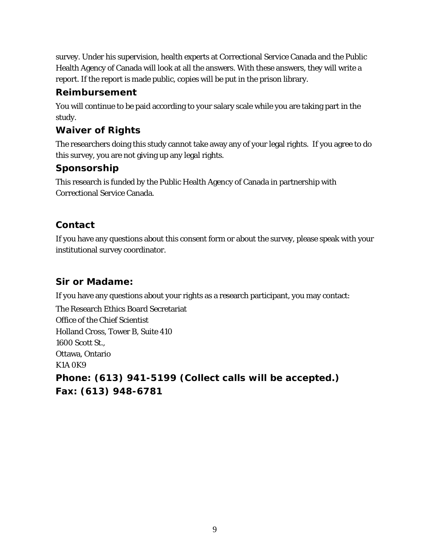survey. Under his supervision, health experts at Correctional Service Canada and the Public Health Agency of Canada will look at all the answers. With these answers, they will write a report. If the report is made public, copies will be put in the prison library.

### **Reimbursement**

You will continue to be paid according to your salary scale while you are taking part in the study.

### **Waiver of Rights**

The researchers doing this study cannot take away any of your legal rights. If you agree to do this survey, you are not giving up any legal rights.

### **Sponsorship**

This research is funded by the Public Health Agency of Canada in partnership with Correctional Service Canada.

## **Contact**

If you have any questions about this consent form or about the survey, please speak with your institutional survey coordinator.

### **Sir or Madame:**

If you have any questions about your rights as a research participant, you may contact:

The Research Ethics Board Secretariat Office of the Chief Scientist Holland Cross, Tower B, Suite 410 1600 Scott St., Ottawa, Ontario K1A 0K9 **Phone: (613) 941-5199 (Collect calls will be accepted.) Fax: (613) 948-6781**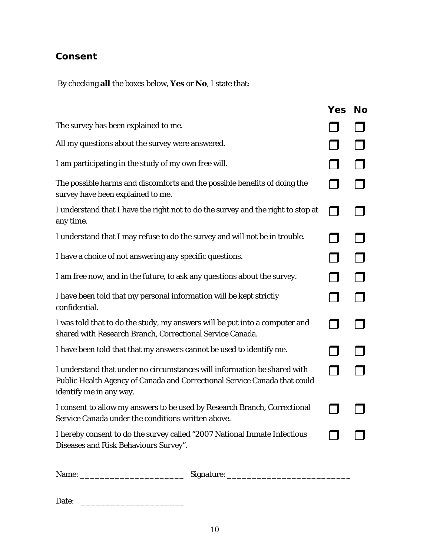# **Consent**

By checking **all** the boxes below, **Yes** or **No**, I state that:

|                                                                                                                                                                                  | <b>Yes</b>               | <b>No</b> |
|----------------------------------------------------------------------------------------------------------------------------------------------------------------------------------|--------------------------|-----------|
| The survey has been explained to me.                                                                                                                                             |                          |           |
| All my questions about the survey were answered.                                                                                                                                 |                          |           |
| I am participating in the study of my own free will.                                                                                                                             |                          |           |
| The possible harms and discomforts and the possible benefits of doing the<br>survey have been explained to me.                                                                   |                          |           |
| I understand that I have the right not to do the survey and the right to stop at<br>any time.                                                                                    | $\overline{\phantom{a}}$ |           |
| I understand that I may refuse to do the survey and will not be in trouble.                                                                                                      |                          |           |
| I have a choice of not answering any specific questions.                                                                                                                         |                          |           |
| I am free now, and in the future, to ask any questions about the survey.                                                                                                         |                          |           |
| I have been told that my personal information will be kept strictly<br>confidential.                                                                                             |                          |           |
| I was told that to do the study, my answers will be put into a computer and<br>shared with Research Branch, Correctional Service Canada.                                         | $\overline{\phantom{a}}$ |           |
| I have been told that that my answers cannot be used to identify me.                                                                                                             |                          |           |
| I understand that under no circumstances will information be shared with<br>Public Health Agency of Canada and Correctional Service Canada that could<br>identify me in any way. |                          |           |
| I consent to allow my answers to be used by Research Branch, Correctional<br>Service Canada under the conditions written above.                                                  |                          |           |
| I hereby consent to do the survey called "2007 National Inmate Infectious<br>Diseases and Risk Behaviours Survey".                                                               |                          |           |
|                                                                                                                                                                                  |                          |           |

| Name: | signature: |
|-------|------------|
|-------|------------|

Date: \_\_\_\_\_\_\_\_\_\_\_\_\_\_\_\_\_\_\_\_\_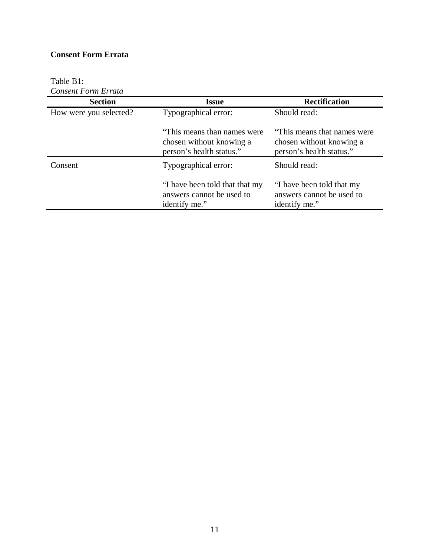#### **Consent Form Errata**

# Table B1:

|  | <b>Consent Form Errata</b> |  |
|--|----------------------------|--|
|--|----------------------------|--|

| <b>Section</b>         | <b>Issue</b>                                                                         | <b>Rectification</b>                                                                 |  |  |  |
|------------------------|--------------------------------------------------------------------------------------|--------------------------------------------------------------------------------------|--|--|--|
| How were you selected? | Typographical error:                                                                 | Should read:                                                                         |  |  |  |
|                        | "This means than names were"<br>chosen without knowing a<br>person's health status." | "This means that names were"<br>chosen without knowing a<br>person's health status." |  |  |  |
| Consent                | Typographical error:                                                                 | Should read:                                                                         |  |  |  |
|                        | "I have been told that that my<br>answers cannot be used to<br>identify me."         | "I have been told that my<br>answers cannot be used to<br>identify me."              |  |  |  |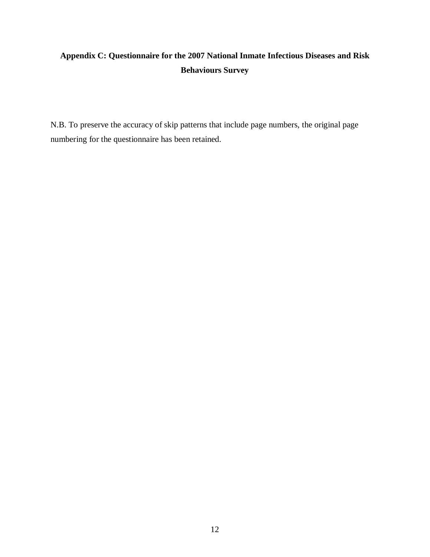# <span id="page-21-0"></span>**Appendix C: Questionnaire for the 2007 National Inmate Infectious Diseases and Risk Behaviours Survey**

N.B. To preserve the accuracy of skip patterns that include page numbers, the original page numbering for the questionnaire has been retained.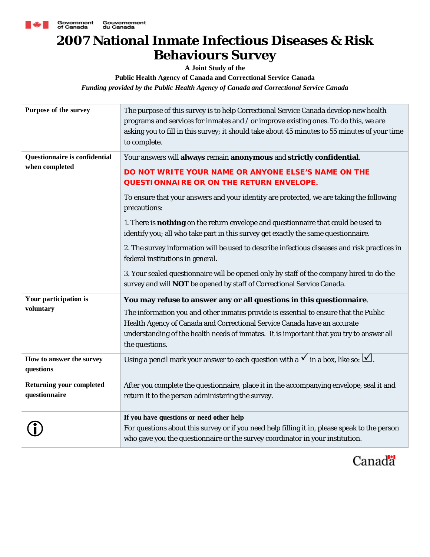

# **2007 National Inmate Infectious Diseases & Risk Behaviours Survey**

**A Joint Study of the**

**Public Health Agency of Canada and Correctional Service Canada** *Funding provided by the Public Health Agency of Canada and Correctional Service Canada*

| Purpose of the survey                            | The purpose of this survey is to help Correctional Service Canada develop new health<br>programs and services for inmates and / or improve existing ones. To do this, we are<br>asking you to fill in this survey; it should take about 45 minutes to 55 minutes of your time<br>to complete.                                                                                                                                                                   |
|--------------------------------------------------|-----------------------------------------------------------------------------------------------------------------------------------------------------------------------------------------------------------------------------------------------------------------------------------------------------------------------------------------------------------------------------------------------------------------------------------------------------------------|
| Questionnaire is confidential<br>when completed  | Your answers will always remain anonymous and strictly confidential.<br>DO NOT WRITE YOUR NAME OR ANYONE ELSE'S NAME ON THE<br>QUESTIONNAIRE OR ON THE RETURN ENVELOPE.<br>To ensure that your answers and your identity are protected, we are taking the following<br>precautions:<br>1. There is nothing on the return envelope and questionnaire that could be used to<br>identify you; all who take part in this survey get exactly the same questionnaire. |
|                                                  | 2. The survey information will be used to describe infectious diseases and risk practices in<br>federal institutions in general.<br>3. Your sealed questionnaire will be opened only by staff of the company hired to do the<br>survey and will NOT be opened by staff of Correctional Service Canada.                                                                                                                                                          |
| Your participation is<br>voluntary               | You may refuse to answer any or all questions in this questionnaire.<br>The information you and other inmates provide is essential to ensure that the Public<br>Health Agency of Canada and Correctional Service Canada have an accurate<br>understanding of the health needs of inmates. It is important that you try to answer all<br>the questions.                                                                                                          |
| How to answer the survey<br>questions            | Using a pencil mark your answer to each question with a $\checkmark$ in a box, like so: $\checkmark$ .                                                                                                                                                                                                                                                                                                                                                          |
| <b>Returning your completed</b><br>questionnaire | After you complete the questionnaire, place it in the accompanying envelope, seal it and<br>return it to the person administering the survey.                                                                                                                                                                                                                                                                                                                   |
|                                                  | If you have questions or need other help<br>For questions about this survey or if you need help filling it in, please speak to the person<br>who gave you the questionnaire or the survey coordinator in your institution.                                                                                                                                                                                                                                      |

Canada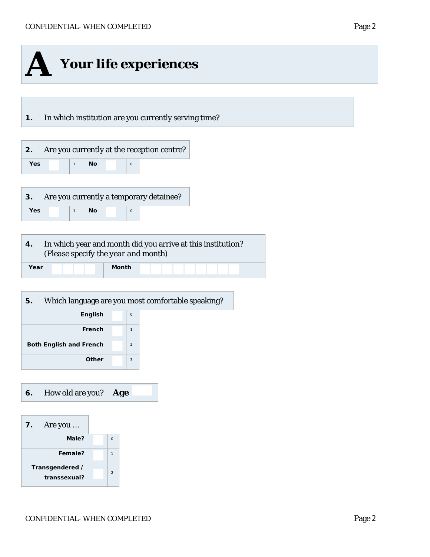

**6.** How old are you? **Age**

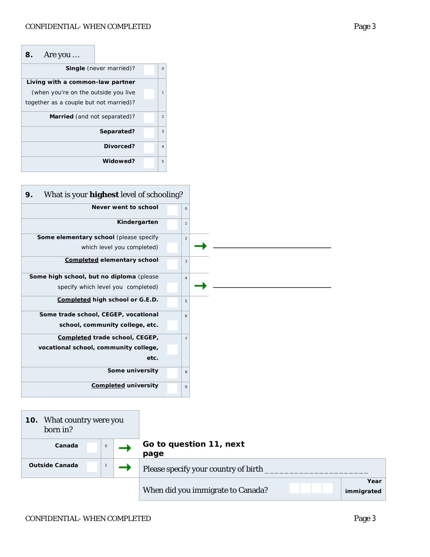| Are you<br>8.                          |                                |          |  |  |  |  |  |  |  |
|----------------------------------------|--------------------------------|----------|--|--|--|--|--|--|--|
|                                        | <b>Single</b> (never married)? | $\Omega$ |  |  |  |  |  |  |  |
| Living with a common-law partner       |                                |          |  |  |  |  |  |  |  |
| (when you're on the outside you live   |                                | 1        |  |  |  |  |  |  |  |
| together as a couple but not married)? |                                |          |  |  |  |  |  |  |  |
| Married (and not separated)?           |                                |          |  |  |  |  |  |  |  |
|                                        | Separated?                     | 3        |  |  |  |  |  |  |  |
|                                        | Divorced?                      | $\Delta$ |  |  |  |  |  |  |  |
|                                        | Widowed?                       | 5        |  |  |  |  |  |  |  |

| What is your <b>highest</b> level of schooling?<br>9. |                     |
|-------------------------------------------------------|---------------------|
| Never went to school                                  | $\mathsf{O}\xspace$ |
| Kindergarten                                          | $\mathbf{1}$        |
| Some elementary school (please specify                | $\overline{2}$      |
| which level you completed)                            |                     |
| Completed elementary school                           | 3                   |
| Some high school, but no diploma (please              | $\overline{4}$      |
| specify which level you completed)                    |                     |
| Completed high school or G.E.D.                       | 5                   |
| Some trade school, CEGEP, vocational                  | 6                   |
| school, community college, etc.                       |                     |
| Completed trade school, CEGEP,                        | $\overline{7}$      |
| vocational school, community college,                 |                     |
| etc.                                                  |                     |
| Some university                                       | 8                   |
| <b>Completed university</b>                           | 9                   |
|                                                       |                     |
| What country were you<br>10.<br>born in?              |                     |

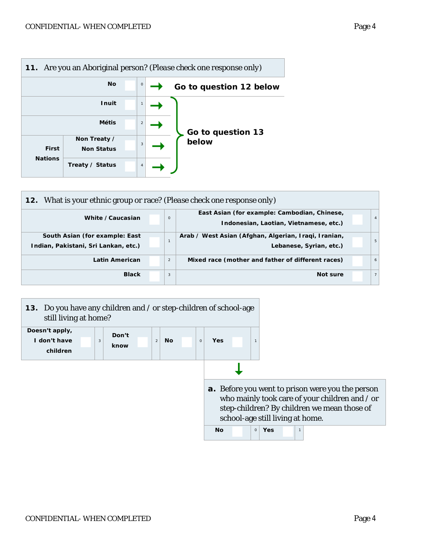

| <b>12.</b> What is your ethnic group or race? (Please check one response only)                                             |  |                |                                                                                 |  |   |  |  |  |  |  |  |
|----------------------------------------------------------------------------------------------------------------------------|--|----------------|---------------------------------------------------------------------------------|--|---|--|--|--|--|--|--|
| East Asian (for example: Cambodian, Chinese,<br>White / Caucasian<br>$\mathbf 0$<br>Indonesian, Laotian, Vietnamese, etc.) |  |                |                                                                                 |  |   |  |  |  |  |  |  |
| South Asian (for example: East<br>Indian, Pakistani, Sri Lankan, etc.)                                                     |  |                | Arab / West Asian (Afghan, Algerian, Iraqi, Iranian,<br>Lebanese, Syrian, etc.) |  | 5 |  |  |  |  |  |  |
| <b>Latin American</b>                                                                                                      |  | $\overline{2}$ | Mixed race (mother and father of different races)                               |  | 6 |  |  |  |  |  |  |
| <b>Black</b>                                                                                                               |  | 3              | Not sure                                                                        |  |   |  |  |  |  |  |  |

| 13. Do you have any children and / or step-children of school-age<br>still living at home? |   |               |                |           |  |         |                                                         |                                  |                |  |              |  |                                                                                               |  |
|--------------------------------------------------------------------------------------------|---|---------------|----------------|-----------|--|---------|---------------------------------------------------------|----------------------------------|----------------|--|--------------|--|-----------------------------------------------------------------------------------------------|--|
| Doesn't apply,<br>I don't have<br>children                                                 | 3 | Don't<br>know | $\overline{2}$ | <b>No</b> |  | $\circ$ | <b>Yes</b>                                              |                                  |                |  |              |  |                                                                                               |  |
|                                                                                            |   |               |                |           |  |         |                                                         |                                  |                |  |              |  |                                                                                               |  |
|                                                                                            |   |               |                |           |  |         | <b>a.</b> Before you went to prison were you the person | school-age still living at home. |                |  |              |  | who mainly took care of your children and / or<br>step-children? By children we mean those of |  |
|                                                                                            |   |               |                |           |  |         | <b>No</b>                                               |                                  | $\circ$<br>Yes |  | $\mathbf{1}$ |  |                                                                                               |  |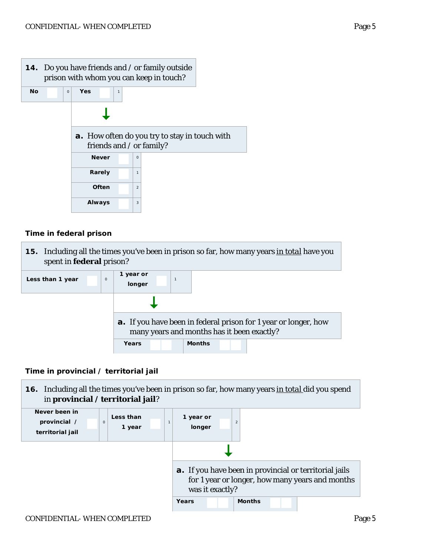

#### *Time in federal prison*



*Time in provincial / territorial jail*

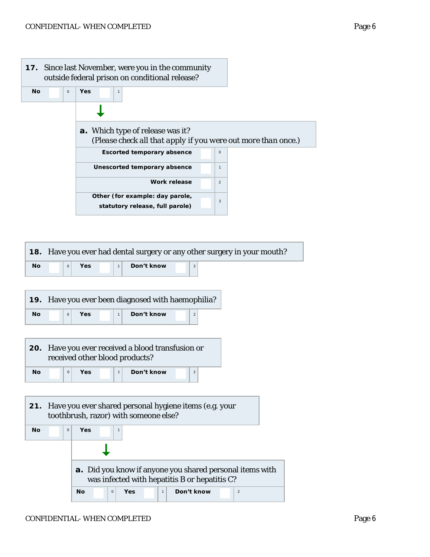

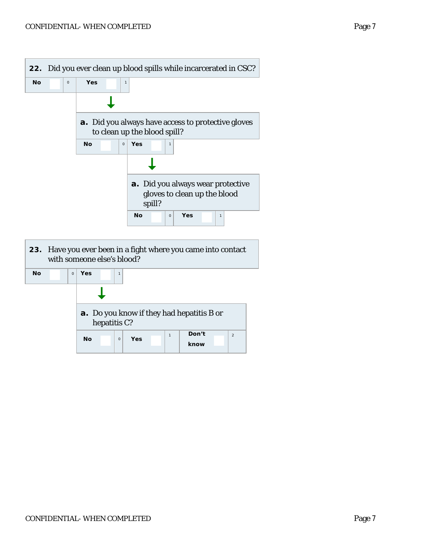|           |             |                            |                                       |   |           |        |                     |     | 22. Did you ever clean up blood spills while incarcerated in CSC? |  |
|-----------|-------------|----------------------------|---------------------------------------|---|-----------|--------|---------------------|-----|-------------------------------------------------------------------|--|
| <b>No</b> | $\mathsf O$ | Yes                        |                                       | 1 |           |        |                     |     |                                                                   |  |
|           |             |                            |                                       |   |           |        |                     |     |                                                                   |  |
|           |             |                            | to clean up the blood spill?          |   |           |        |                     |     | <b>a.</b> Did you always have access to protective gloves         |  |
|           |             | <b>No</b>                  | $\mathbf 0$                           |   | Yes       |        | $\mathbf{1}$        |     |                                                                   |  |
|           |             |                            |                                       |   |           |        |                     |     |                                                                   |  |
|           |             |                            |                                       |   |           | spill? |                     |     | a. Did you always wear protective<br>gloves to clean up the blood |  |
|           |             |                            |                                       |   | <b>No</b> |        | $\mathsf{O}\xspace$ | Yes | $\mathbf{1}$                                                      |  |
|           |             | with someone else's blood? |                                       |   |           |        |                     |     | 23. Have you ever been in a fight where you came into contact     |  |
| <b>No</b> | $\circ$     | Yes                        | $\mathbf{1}$                          |   |           |        |                     |     |                                                                   |  |
|           |             |                            |                                       |   |           |        |                     |     |                                                                   |  |
|           |             |                            | o you know if they had henetitic D on |   |           |        |                     |     |                                                                   |  |

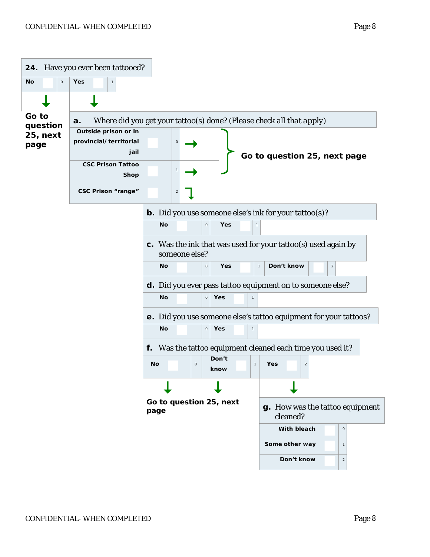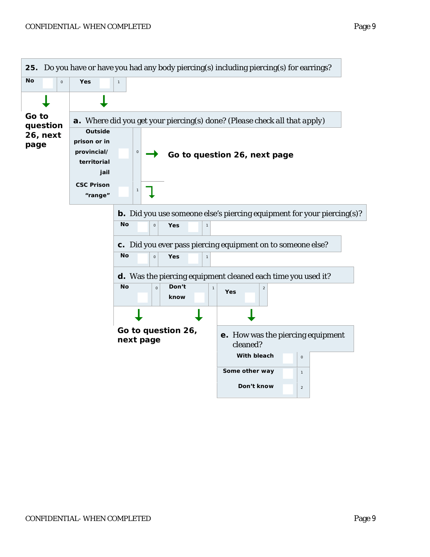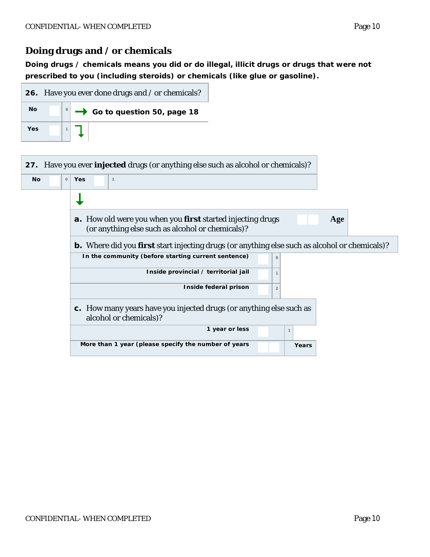### **Doing drugs and / or chemicals**

*Doing drugs / chemicals means you did or do illegal, illicit drugs or drugs that were not prescribed to you (including steroids) or chemicals (like glue or gasoline).* 



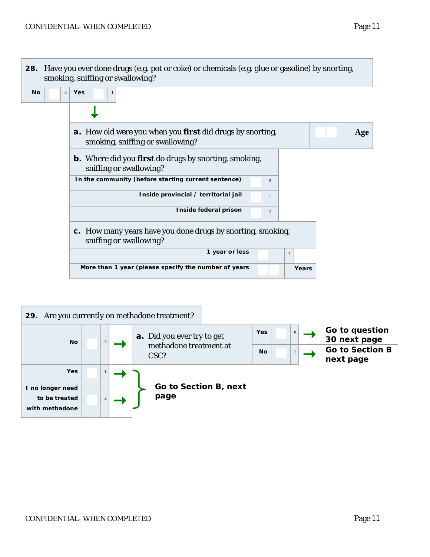

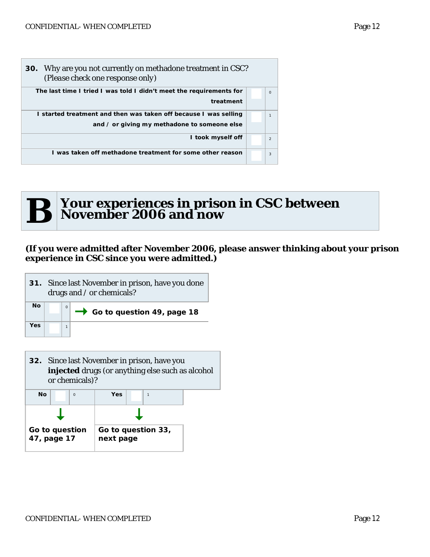| 30. Why are you not currently on methadone treatment in CSC?<br>(Please check one response only) |                |
|--------------------------------------------------------------------------------------------------|----------------|
| The last time I tried I was told I didn't meet the requirements for                              | $\Omega$       |
| treatment                                                                                        |                |
| I started treatment and then was taken off because I was selling                                 | $\mathbf{1}$   |
| and / or giving my methadone to someone else                                                     |                |
| I took myself off                                                                                | $\overline{2}$ |
| I was taken off methadone treatment for some other reason                                        | 3              |



Г

# **B** Your experiences in prison in CSC between<br> **B** November 2006 and now **November 2006 and now**

#### **(If you were admitted after November 2006, please answer thinking about your prison experience in CSC since you were admitted.)**

| 31. Since last November in prison, have you done<br>drugs and / or chemicals? |  |  |                                          |  |  |  |
|-------------------------------------------------------------------------------|--|--|------------------------------------------|--|--|--|
| <b>No</b>                                                                     |  |  | $\rightarrow$ Go to question 49, page 18 |  |  |  |
| Yes                                                                           |  |  |                                          |  |  |  |

|                               |           | <b>32.</b> Since last November in prison, have you<br>injected drugs (or anything else such as alcohol<br>or chemicals)? |                                 |              |  |
|-------------------------------|-----------|--------------------------------------------------------------------------------------------------------------------------|---------------------------------|--------------|--|
|                               | <b>No</b> | $\Omega$                                                                                                                 | Yes                             | $\mathbf{1}$ |  |
|                               |           |                                                                                                                          |                                 |              |  |
| Go to question<br>47, page 17 |           |                                                                                                                          | Go to question 33,<br>next page |              |  |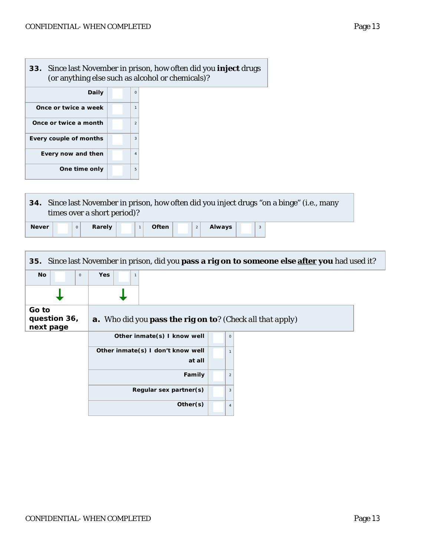**33.** Since last November in prison, how often did you **inject** drugs (or anything else such as alcohol or chemicals)? **Daily** 0 **Once or twice a week** | | | | 1 **Once or twice a month** 2 **Every couple of months**  $\begin{array}{|c|c|} \hline \textbf{3} & \textbf{4} \end{array}$ **Every now and then**  $\begin{array}{|c|c|c|} \hline \quad 4 & \quad \end{array}$ 

**One time only**  $\begin{array}{|c|c|} \hline \end{array}$  5

Г

Г

|              |  | times over a short period)? |  |              |  |               |  | 34. Since last November in prison, how often did you inject drugs "on a binge" (i.e., many |
|--------------|--|-----------------------------|--|--------------|--|---------------|--|--------------------------------------------------------------------------------------------|
| <b>Never</b> |  | Rarely                      |  | <b>Often</b> |  | <b>Always</b> |  |                                                                                            |

|                                    |                                                                          | 35. Since last November in prison, did you pass a rig on to someone else after you had used it? |
|------------------------------------|--------------------------------------------------------------------------|-------------------------------------------------------------------------------------------------|
| No<br>$\circ$                      | <b>Yes</b><br>$\mathbf{1}$                                               |                                                                                                 |
|                                    |                                                                          |                                                                                                 |
| Go to<br>question 36,<br>next page | <b>a.</b> Who did you <b>pass the rig on to</b> ? (Check all that apply) |                                                                                                 |
|                                    | Other inmate(s) I know well                                              | $\circ$                                                                                         |
|                                    | Other inmate(s) I don't know well<br>at all                              |                                                                                                 |
|                                    | Family                                                                   | $\overline{2}$                                                                                  |
|                                    | Regular sex partner(s)                                                   | 3                                                                                               |
|                                    | Other(s)                                                                 | $\overline{4}$                                                                                  |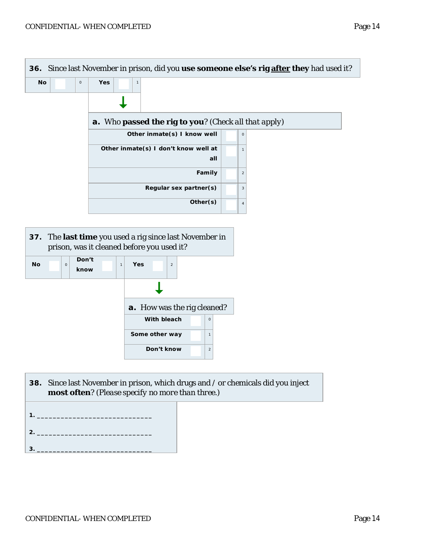



| <b>38.</b> Since last November in prison, which drugs and / or chemicals did you inject |
|-----------------------------------------------------------------------------------------|
| <b>most often?</b> (Please specify no more than three.)                                 |

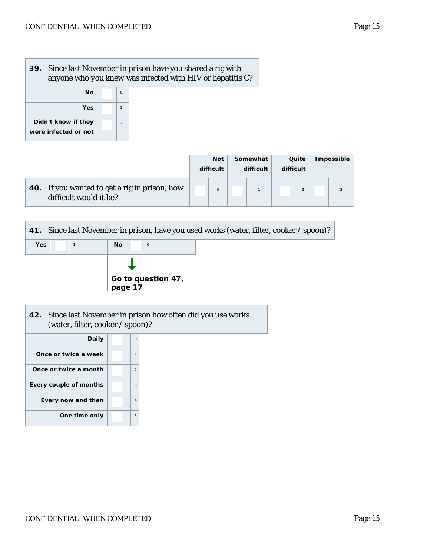# **39.** Since last November in prison have you shared a rig with anyone who *you knew* was infected with HIV or hepatitis C? **No** 0



|                                                                         | <b>Not</b><br>difficult | Somewhat<br>difficult | Quite<br>difficult | <b>Impossible</b> |
|-------------------------------------------------------------------------|-------------------------|-----------------------|--------------------|-------------------|
| 40. If you wanted to get a rig in prison, how<br>difficult would it be? |                         |                       | $\mathfrak{D}$     |                   |

| 41. Since last November in prison, have you used works (water, filter, cooker / spoon)? |  |  |     |  |                               |  |  |  |  |
|-----------------------------------------------------------------------------------------|--|--|-----|--|-------------------------------|--|--|--|--|
| <b>Yes</b>                                                                              |  |  | No. |  | $\circ$                       |  |  |  |  |
|                                                                                         |  |  |     |  | Go to question 47,<br>page 17 |  |  |  |  |

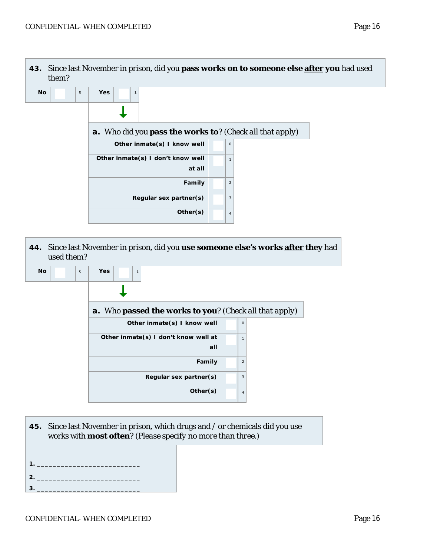



works with **most often**? *(Please specify no more than three.)*

- **1. \_\_\_\_\_\_\_\_\_\_\_\_\_\_\_\_\_\_\_\_\_\_\_\_\_\_ 2. \_\_\_\_\_\_\_\_\_\_\_\_\_\_\_\_\_\_\_\_\_\_\_\_\_\_**
- **3. \_\_\_\_\_\_\_\_\_\_\_\_\_\_\_\_\_\_\_\_\_\_\_\_\_\_**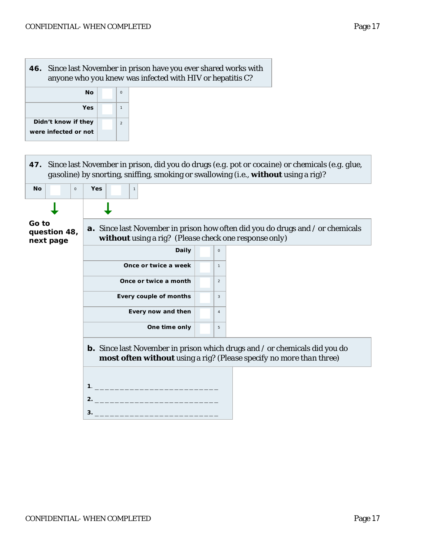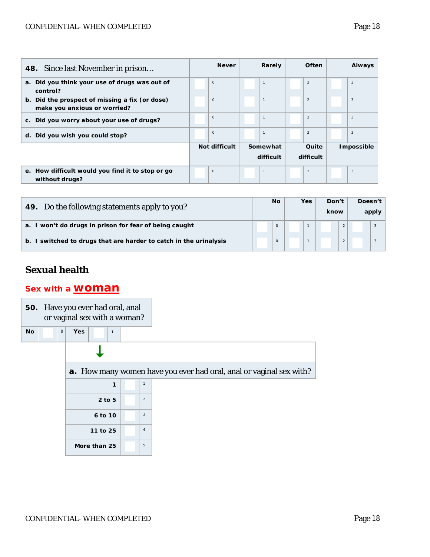#### CONFIDENTIAL-WHEN COMPLETED Page 18

| <b>48.</b> Since last November in prison                                       | <b>Never</b>  | Rarely         | <b>Often</b>   | <b>Always</b> |
|--------------------------------------------------------------------------------|---------------|----------------|----------------|---------------|
| a. Did you think your use of drugs was out of<br>control?                      | $\circ$       | $\overline{1}$ | $\overline{2}$ | 3             |
| b. Did the prospect of missing a fix (or dose)<br>make you anxious or worried? | $\circ$       | $\overline{1}$ | $\overline{2}$ | 3             |
| c. Did you worry about your use of drugs?                                      | $\circ$       | $\overline{1}$ | $\overline{2}$ | 3             |
| d. Did you wish you could stop?                                                | $\circ$       | $\overline{1}$ | $\overline{2}$ | 3             |
|                                                                                | Not difficult | Somewhat       | Quite          | Impossible    |
|                                                                                |               | difficult      | difficult      |               |
| e. How difficult would you find it to stop or go<br>without drugs?             | $\circ$       | $\overline{1}$ | $\overline{2}$ | 3             |

| 49. Do the following statements apply to you?                                   | No |         | Yes |  | Don't<br>know |                | Doesn't<br>apply |  |
|---------------------------------------------------------------------------------|----|---------|-----|--|---------------|----------------|------------------|--|
| I won't do drugs in prison for fear of being caught<br>a <sub>z</sub>           |    | $\circ$ |     |  |               |                |                  |  |
| I switched to drugs that are harder to catch in the urinalysis<br>$\mathbf b$ . |    | $\circ$ |     |  |               | $\overline{2}$ |                  |  |

## **Sexual health**

#### *Sex with a woman*

**50.** Have you ever had oral, anal or vaginal sex with a woman?

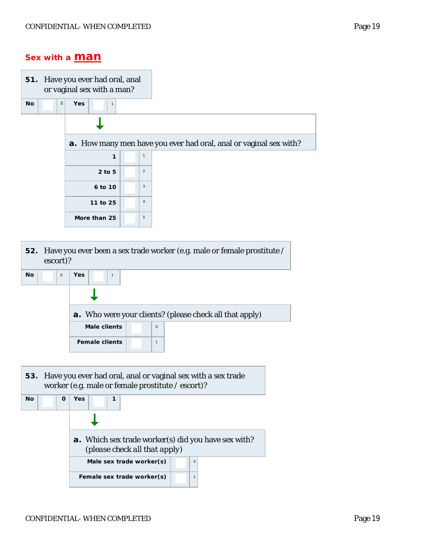#### *Sex with a man*

|                          | 51. Have you ever had oral, anal<br>or vaginal sex with a man? |                |                                                                   |
|--------------------------|----------------------------------------------------------------|----------------|-------------------------------------------------------------------|
| $\mathbf 0$<br><b>No</b> | <b>Yes</b><br>$\mathbf{1}$                                     |                |                                                                   |
|                          |                                                                |                |                                                                   |
|                          |                                                                |                | a. How many men have you ever had oral, anal or vaginal sex with? |
|                          | 1                                                              | $\mathbf{1}$   |                                                                   |
|                          | $2$ to 5                                                       | $\overline{2}$ |                                                                   |
|                          | 6 to 10                                                        | 3              |                                                                   |
|                          | 11 to 25                                                       | $\overline{4}$ |                                                                   |
|                          | More than 25                                                   | 5              |                                                                   |

| escort)?             | 52. Have you ever been a sex trade worker (e.g. male or female prostitute / |          |                                                                 |  |  |  |  |  |  |  |  |
|----------------------|-----------------------------------------------------------------------------|----------|-----------------------------------------------------------------|--|--|--|--|--|--|--|--|
| <b>No</b><br>$\circ$ | Yes<br>$\mathbf{1}$                                                         |          |                                                                 |  |  |  |  |  |  |  |  |
|                      |                                                                             |          |                                                                 |  |  |  |  |  |  |  |  |
|                      |                                                                             |          | <b>a</b> . Who were your clients? (please check all that apply) |  |  |  |  |  |  |  |  |
|                      | Male clients                                                                | $\Omega$ |                                                                 |  |  |  |  |  |  |  |  |
|                      | <b>Female clients</b>                                                       | 1        |                                                                 |  |  |  |  |  |  |  |  |
|                      |                                                                             |          |                                                                 |  |  |  |  |  |  |  |  |

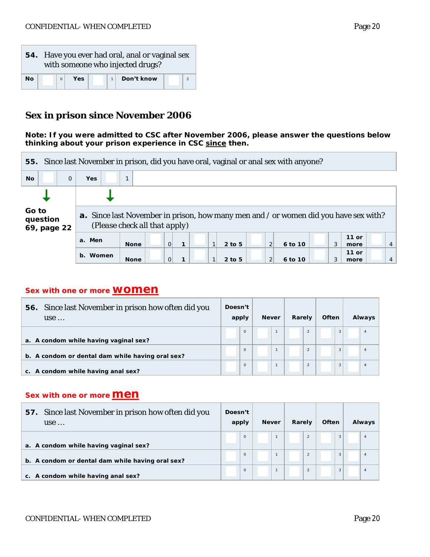|    |  |     |  | 54. Have you ever had oral, anal or vaginal sex<br>with someone who injected drugs? |  |
|----|--|-----|--|-------------------------------------------------------------------------------------|--|
| Nο |  | Yes |  | Don't know                                                                          |  |

#### **Sex in prison since November 2006**

*Note: If you were admitted to CSC after November 2006, please answer the questions below thinking about your prison experience in CSC since then.*



#### *Sex with one or more* **women**

| Since last November in prison how often did you<br>56.<br>use | Doesn't<br>apply |          | <b>Never</b> |  | Rarely |                | Often |   | Always |  |
|---------------------------------------------------------------|------------------|----------|--------------|--|--------|----------------|-------|---|--------|--|
| a. A condom while having vaginal sex?                         |                  | $\Omega$ |              |  |        | $\overline{2}$ |       | 3 |        |  |
| b. A condom or dental dam while having oral sex?              |                  | $\circ$  |              |  |        | $\overline{2}$ |       | 3 |        |  |
| c. A condom while having anal sex?                            |                  | $\circ$  |              |  |        | $\overline{2}$ |       | 3 |        |  |

#### **Sex with one or more <b>Men**

| Since last November in prison how often did you<br>57.<br>use | Doesn't | apply    | <b>Never</b> | Rarely |                | <b>Often</b> |   | Always |  |
|---------------------------------------------------------------|---------|----------|--------------|--------|----------------|--------------|---|--------|--|
| a. A condom while having vaginal sex?                         |         | $\circ$  |              |        | $\overline{2}$ |              | 3 |        |  |
| b. A condom or dental dam while having oral sex?              |         | $\circ$  |              |        | $\overline{2}$ |              | 3 |        |  |
| c. A condom while having anal sex?                            |         | $\Omega$ |              |        | $\overline{2}$ |              | 3 |        |  |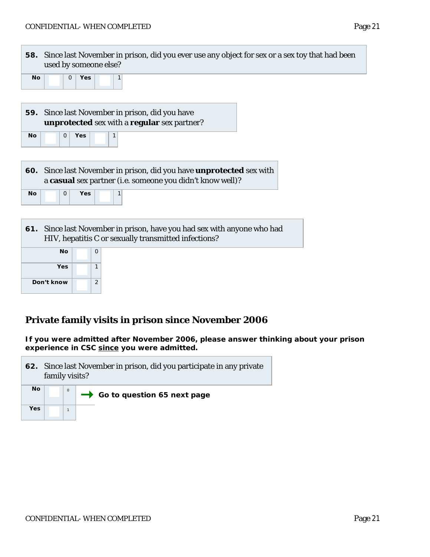| 58. Since last November in prison, did you ever use any object for sex or a sex toy that had been<br>used by someone else? |  |  |  |  |  |  |  |  |  |
|----------------------------------------------------------------------------------------------------------------------------|--|--|--|--|--|--|--|--|--|
| No.<br><b>Yes</b>                                                                                                          |  |  |  |  |  |  |  |  |  |
| 59. Since last November in prison, did you have                                                                            |  |  |  |  |  |  |  |  |  |

| unprotected sex with a regular sex partner? |  |                |     |  |  |  |  |  |  |  |
|---------------------------------------------|--|----------------|-----|--|--|--|--|--|--|--|
| <b>No</b>                                   |  | 0 <sup>1</sup> | Yes |  |  |  |  |  |  |  |

|    |                |     | 60. Since last November in prison, did you have <b>unprotected</b> sex with<br>a casual sex partner (i.e. someone you didn't know well)? |
|----|----------------|-----|------------------------------------------------------------------------------------------------------------------------------------------|
| No | 0 <sup>1</sup> | Yes |                                                                                                                                          |

| 61. Since last November in prison, have you had sex with anyone who had |
|-------------------------------------------------------------------------|
| HIV, hepatitis C or sexually transmitted infections?                    |

| No         | O             |  |
|------------|---------------|--|
| Yes        |               |  |
| Don't know | $\mathcal{P}$ |  |

Г

#### **Private family visits in prison since November 2006**

*If you were admitted after November 2006, please answer thinking about your prison experience in CSC since you were admitted.*

|     | family visits? | 62. Since last November in prison, did you participate in any private |
|-----|----------------|-----------------------------------------------------------------------|
| No  |                | $\rightarrow$ Go to question 65 next page                             |
| Yes |                |                                                                       |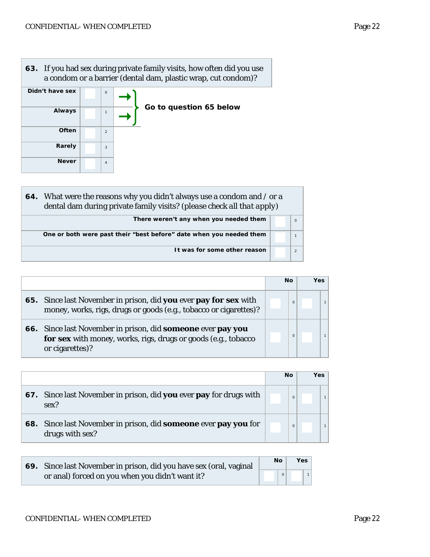**63.** If you had sex during private family visits, how often did you use a condom or a barrier (dental dam, plastic wrap, cut condom)? **Didn't have sex** 0 **Always**  $\rightarrow$ *Go to question 65 below* <sup>1</sup>  $\rightarrow$ **Often** 2 **Rarely** 3 **Never**  $\begin{array}{|c|c|c|}\n\hline\n4\n\end{array}$ 

| 64. What were the reasons why you didn't always use a condom and / or a<br>dental dam during private family visits? (please check all that apply) |          |
|---------------------------------------------------------------------------------------------------------------------------------------------------|----------|
| There weren't any when you needed them                                                                                                            | $\Omega$ |
| One or both were past their "best before" date when you needed them                                                                               |          |
| It was for some other reason                                                                                                                      |          |

|                                                                                                                                                  | No |          | Yes |  |
|--------------------------------------------------------------------------------------------------------------------------------------------------|----|----------|-----|--|
| 65. Since last November in prison, did you ever pay for sex with<br>money, works, rigs, drugs or goods (e.g., tobacco or cigarettes)?            |    | $\Omega$ |     |  |
| 66. Since last November in prison, did someone ever pay you<br>for sex with money, works, rigs, drugs or goods (e.g., tobacco<br>or cigarettes)? |    | $\Omega$ |     |  |

|                                                                                    | <b>No</b> | <b>Yes</b> |
|------------------------------------------------------------------------------------|-----------|------------|
| 67. Since last November in prison, did you ever pay for drugs with<br>sex?         | $\Omega$  |            |
| 68. Since last November in prison, did someone ever pay you for<br>drugs with sex? | $\Omega$  |            |

| 69. Since last November in prison, did you have sex (oral, vaginal | Νo | <b>Yes</b> |
|--------------------------------------------------------------------|----|------------|
| or anal) forced on you when you didn't want it?                    |    |            |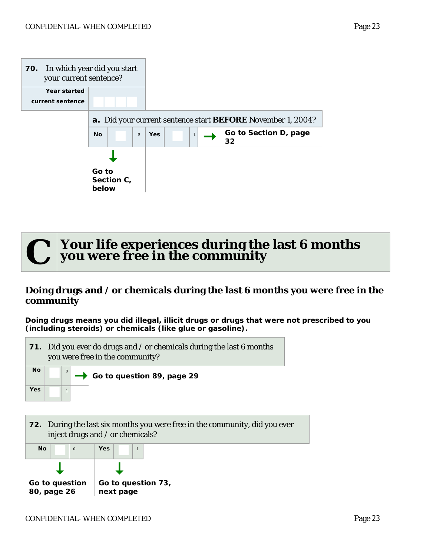



#### **Doing drugs and / or chemicals during the last 6 months you were free in the community**

*Doing drugs means you did illegal, illicit drugs or drugs that were not prescribed to you (including steroids) or chemicals (like glue or gasoline).* 



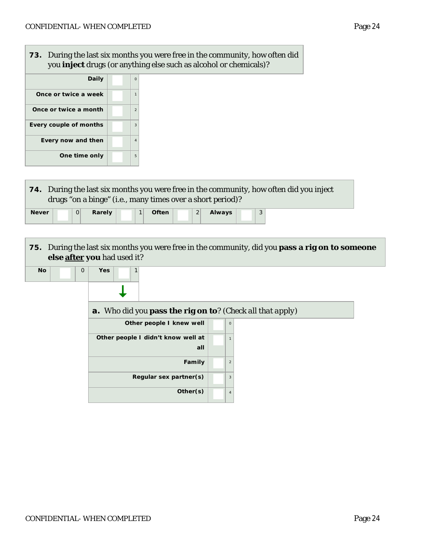**73.** During the last six months you were free in the community, how often did you **inject** drugs (or anything else such as alcohol or chemicals)?  $\overline{\mathsf{Daily}}$  0 **Once or twice a week**  $\begin{array}{|c|c|c|c|} \hline \quad & 1 \\ \hline \end{array}$ **Once or twice a month** 2 **Every couple of months**  $\begin{array}{|c|c|c|} \hline \end{array}$  3 **Every now and then**  $\begin{array}{|c|c|c|} \hline \end{array}$  4 **One time only**  $\begin{array}{|c|c|} \hline \end{array}$  5 **74.** During the last six months you were free in the community, how often did you inject drugs "on a binge" (i.e., many times over a short period)? **Never 0 Rarely 1 Often** 2 **Always** 3 **75.** During the last six months you were free in the community, did you **pass a rig on** *to someone else* **after you** had used it? **No 1** 0 **Yes** 1 ı **a.** Who did you **pass the rig on to**? *(Check all that apply)* **Other people I knew well** | | 0 **Other people I didn't know well at all 1 Family**  $\begin{array}{|c|c|c|}\n\hline\n2\n\end{array}$ **Regular sex partner(s)** | 3 **Other(s)**  $\begin{array}{|c|c|c|}\n\hline\n4\n\end{array}$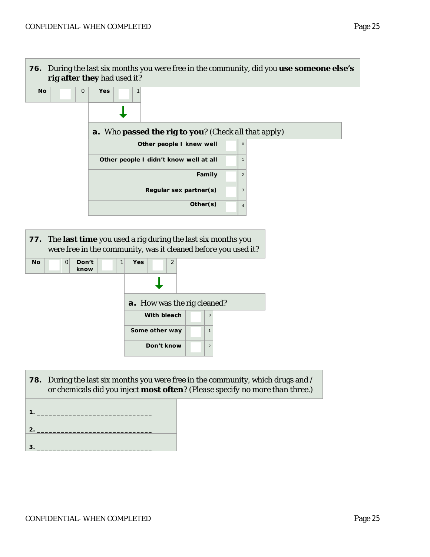

| <b>78.</b> During the last six months you were free in the community, which drugs and /<br>or chemicals did you inject <b>most often</b> ? (Please specify no more than three.) |  |  |
|---------------------------------------------------------------------------------------------------------------------------------------------------------------------------------|--|--|
|                                                                                                                                                                                 |  |  |

**Some other way**  $\begin{array}{|c|c|c|} \hline \end{array}$  1

**Don't know**  $\begin{array}{|c|c|c|c|} \hline \textbf{2} & \textbf{3} & \textbf{2} \end{array}$ 

| $\mathbf{1}_{\mathbf{1}}$ |  |
|---------------------------|--|
|                           |  |
| $\vert$ 2.                |  |
| 3.                        |  |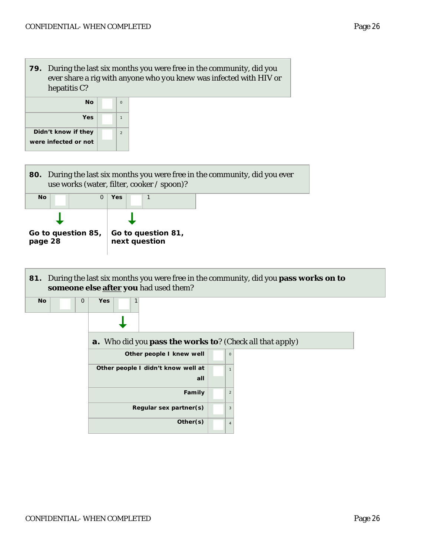





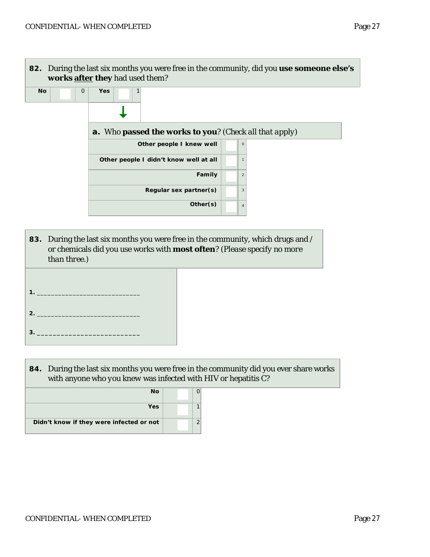

**83.** During the last six months you were free in the community, which drugs and / or chemicals did you use works with **most often**? *(Please specify no more than three.)*



**84.** During the last six months you were free in the community did you ever share works with anyone who *you knew* was infected with HIV or hepatitis C?

| <b>No</b>                                |   |
|------------------------------------------|---|
| Yes                                      |   |
| Didn't know if they were infected or not | r |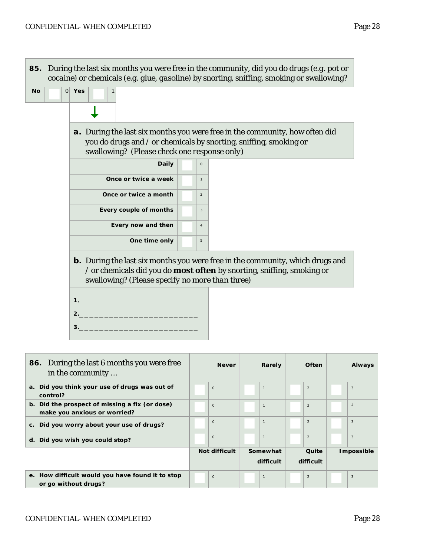

**1** 

 $\begin{array}{|c|c|c|c|}\n\hline\n\hline\n\end{array}$  2

**e. How difficult would you have found it to stop or go without drugs?** <sup>0</sup>

**1** 3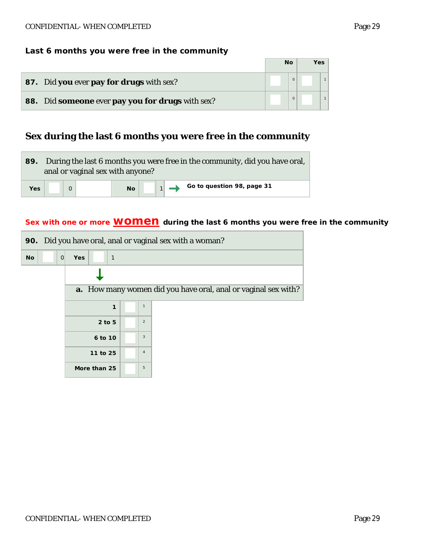|                                                  | <b>No</b> | Yes |  |
|--------------------------------------------------|-----------|-----|--|
| <b>87.</b> Did you ever pay for drugs with sex?  |           |     |  |
| 88. Did someone ever pay you for drugs with sex? |           |     |  |

# **Sex during the last 6 months you were free in the community**

|            |  | anal or vaginal sex with anyone? |           |  | 89. During the last 6 months you were free in the community, did you have oral, |
|------------|--|----------------------------------|-----------|--|---------------------------------------------------------------------------------|
| <b>Yes</b> |  |                                  | <b>No</b> |  | Go to question 98, page 31                                                      |

#### Sex with one or more **WOMEN** during the last 6 months you were free in the community

|                |                            |                | 90. Did you have oral, anal or vaginal sex with a woman?              |
|----------------|----------------------------|----------------|-----------------------------------------------------------------------|
| No<br>$\Omega$ | <b>Yes</b><br>$\mathbf{1}$ |                |                                                                       |
|                |                            |                |                                                                       |
|                |                            |                | <b>a.</b> How many women did you have oral, anal or vaginal sex with? |
|                | 1                          | $\mathbf{1}$   |                                                                       |
|                | $2$ to $5$                 | $\overline{2}$ |                                                                       |
|                | 6 to 10                    | 3              |                                                                       |
|                | 11 to 25                   | $\overline{4}$ |                                                                       |
|                | More than 25               | 5              |                                                                       |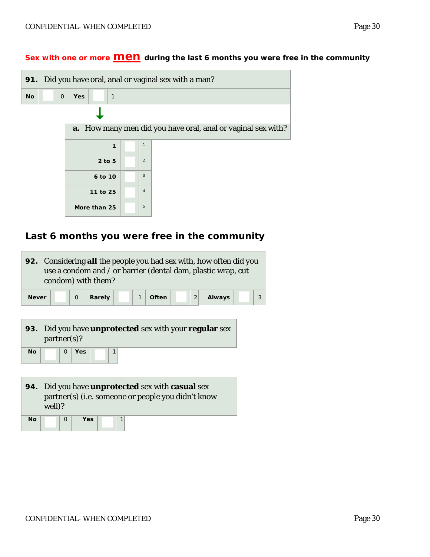Г

|    |              |            |              |              |                | 91. Did you have oral, anal or vaginal sex with a man?              |
|----|--------------|------------|--------------|--------------|----------------|---------------------------------------------------------------------|
| No | $\mathbf{O}$ | <b>Yes</b> |              | $\mathbf{1}$ |                |                                                                     |
|    |              |            |              |              |                |                                                                     |
|    |              |            |              |              |                | <b>a.</b> How many men did you have oral, anal or vaginal sex with? |
|    |              |            |              | 1            | $\mathbf{1}$   |                                                                     |
|    |              |            | 2 to 5       |              | $\overline{2}$ |                                                                     |
|    |              |            | 6 to 10      |              | 3              |                                                                     |
|    |              |            | 11 to 25     |              | $\overline{4}$ |                                                                     |
|    |              |            | More than 25 |              | 5              |                                                                     |

## **Last 6 months you were free in the community**

|              | condom) with them?             | 92. Considering all the people you had sex with, how often did you<br>use a condom and / or barrier (dental dam, plastic wrap, cut |                       |                |        |   |
|--------------|--------------------------------|------------------------------------------------------------------------------------------------------------------------------------|-----------------------|----------------|--------|---|
| <b>Never</b> | $\Omega$                       | Rarely                                                                                                                             | $\mathbf{1}$<br>Often | $\overline{2}$ | Always | 3 |
| No           | partner(s)?<br>Yes<br>$\Omega$ | 93. Did you have <b>unprotected</b> sex with your <b>regular</b> sex<br>1                                                          |                       |                |        |   |
| well)?<br>Νo | $\Omega$                       | 94. Did you have <b>unprotected</b> sex with <b>casual</b> sex<br>partner(s) (i.e. someone or people you didn't know<br>Yes<br>1   |                       |                |        |   |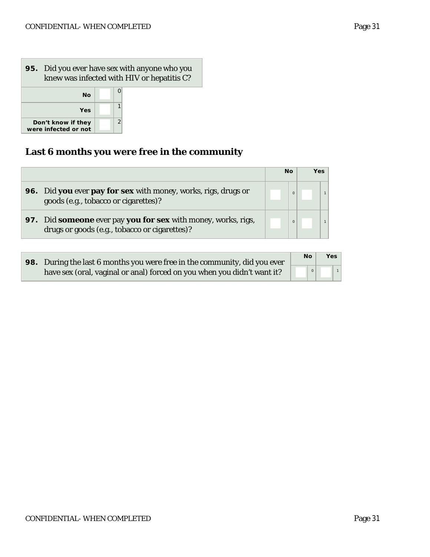## **95.** Did you ever have sex with anyone who you knew was infected with HIV or hepatitis C? **No**  $\begin{bmatrix} 0 \end{bmatrix}$  $\begin{array}{|c|c|c|}\n \hline\n \text{Yes} & 1 \\
\hline\n \text{they} & 2\n \end{array}$ **Don't know if they**  were infected or not

## **Last 6 months you were free in the community**

|                                                                                                                | No       | <b>Yes</b> |
|----------------------------------------------------------------------------------------------------------------|----------|------------|
| 96. Did you ever pay for sex with money, works, rigs, drugs or<br>goods (e.g., tobacco or cigarettes)?         | $\Omega$ |            |
| 97. Did someone ever pay you for sex with money, works, rigs,<br>drugs or goods (e.g., tobacco or cigarettes)? | $\Omega$ |            |

| 98. During the last 6 months you were free in the community, did you ever | <b>No</b> | <b>Yes</b> |  |
|---------------------------------------------------------------------------|-----------|------------|--|
| have sex (oral, vaginal or anal) forced on you when you didn't want it?   |           |            |  |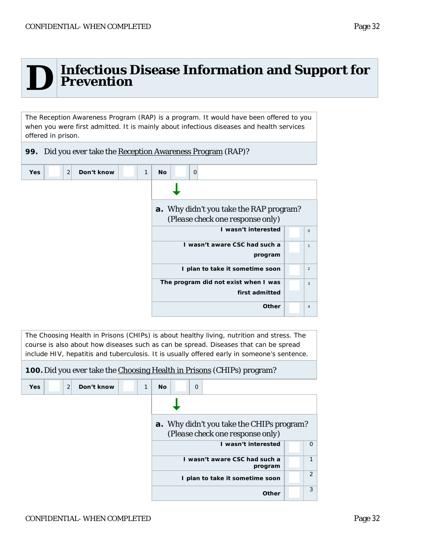

# **D** Infectious Disease Information and Support for<br> **D** Prevention **Prevention**

The Reception Awareness Program (RAP) is a program. It would have been offered to you when you were first admitted. It is mainly about infectious diseases and health services offered in prison.

**99.** Did you ever take the Reception Awareness Program (RAP)?

| 2<br>Don't know<br><b>No</b><br>$\mathbf 0$<br><b>Yes</b><br>1 |                |
|----------------------------------------------------------------|----------------|
|                                                                |                |
| <b>a.</b> Why didn't you take the RAP program?                 |                |
| (Please check one response only)                               |                |
| I wasn't interested                                            | $\circ$        |
| I wasn't aware CSC had such a                                  | $\mathbf{1}$   |
| program                                                        |                |
| I plan to take it sometime soon                                | 2              |
| The program did not exist when I was                           | 3              |
| first admitted                                                 |                |
| Other                                                          | $\overline{4}$ |

| The Choosing Health in Prisons (CHIPs) is about healthy living, nutrition and stress. The   |
|---------------------------------------------------------------------------------------------|
| course is also about how diseases such as can be spread. Diseases that can be spread        |
| include HIV, hepatitis and tuberculosis. It is usually offered early in someone's sentence. |

|                                    | 100. Did you ever take the Choosing Health in Prisons (CHIPs) program?               |          |
|------------------------------------|--------------------------------------------------------------------------------------|----------|
| 2<br>Don't know<br>1<br><b>Yes</b> | $\Omega$<br><b>No</b>                                                                |          |
|                                    |                                                                                      |          |
|                                    | <b>a.</b> Why didn't you take the CHIPs program?<br>(Please check one response only) |          |
|                                    | I wasn't interested                                                                  | $\Omega$ |
|                                    | I wasn't aware CSC had such a<br>program                                             | 1        |
|                                    | I plan to take it sometime soon                                                      | 2        |
|                                    | Other                                                                                | 3        |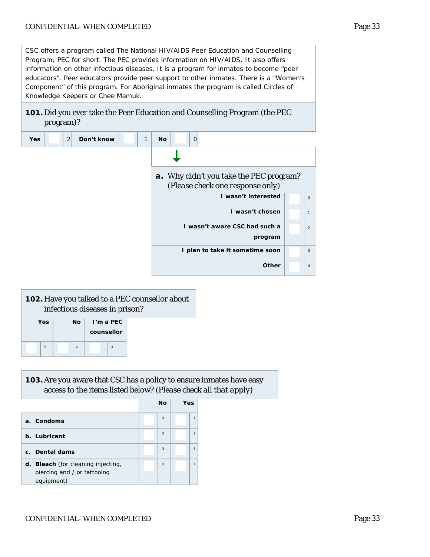CSC offers a program called The National HIV/AIDS Peer Education and Counselling Program; PEC for short. The PEC provides information on HIV/AIDS. It also offers information on other infectious diseases. It is a program for inmates to become "peer educators". Peer educators provide peer support to other inmates. There is a "Women's Component" of this program. For Aboriginal inmates the program is called Circles of Knowledge Keepers or Chee Mamuk.

#### **101.** Did you ever take the **Peer Education and Counselling Program** (the PEC program)?

| <b>Yes</b> | $\overline{2}$ | Don't know | 1 | <b>No</b> |                                  | 0 |                                         |                |  |
|------------|----------------|------------|---|-----------|----------------------------------|---|-----------------------------------------|----------------|--|
|            |                |            |   |           |                                  |   |                                         |                |  |
|            |                |            |   |           |                                  |   | a. Why didn't you take the PEC program? |                |  |
|            |                |            |   |           | (Please check one response only) |   |                                         |                |  |
|            |                |            |   |           |                                  |   | I wasn't interested                     | $\circ$        |  |
|            |                |            |   |           |                                  |   | I wasn't chosen                         | $\mathbf{1}$   |  |
|            |                |            |   |           |                                  |   | I wasn't aware CSC had such a           | 2              |  |
|            |                |            |   |           |                                  |   | program                                 |                |  |
|            |                |            |   |           |                                  |   | I plan to take it sometime soon         | 3              |  |
|            |                |            |   |           |                                  |   | <b>Other</b>                            | $\overline{4}$ |  |

|          | <b>102.</b> Have you talked to a PEC counsellor about<br>infectious diseases in prison? |              |            |                |  |  |  |  |  |  |
|----------|-----------------------------------------------------------------------------------------|--------------|------------|----------------|--|--|--|--|--|--|
| Yes      |                                                                                         | Nο           |            | $I'm$ a PEC    |  |  |  |  |  |  |
|          |                                                                                         |              | counsellor |                |  |  |  |  |  |  |
| $\Omega$ |                                                                                         | $\mathbf{1}$ |            | $\mathfrak{D}$ |  |  |  |  |  |  |

#### **103.**Are you aware that CSC has a policy to ensure inmates have easy access to the items listed below? (*Please check all that apply)*

|                                                                                 | <b>No</b> | Yes |
|---------------------------------------------------------------------------------|-----------|-----|
| a. Condoms                                                                      | $\Omega$  | 1   |
| b. Lubricant                                                                    | $\Omega$  | 1   |
| c. Dental dams                                                                  | $\Omega$  | 1   |
| d. Bleach (for cleaning injecting,<br>piercing and / or tattooing<br>equipment) | $\Omega$  | 1   |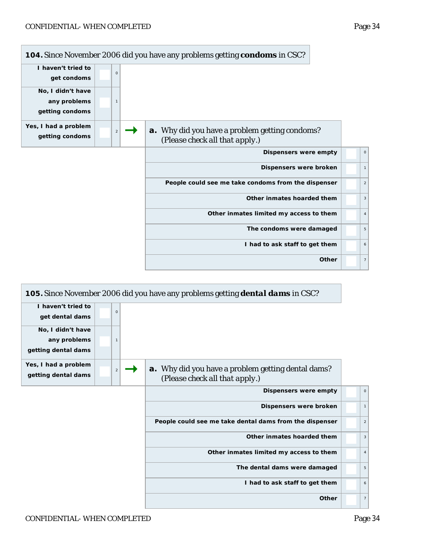

|                                                          |                | 105. Since November 2006 did you have any problems getting <b>dental dams</b> in CSC?       |                |
|----------------------------------------------------------|----------------|---------------------------------------------------------------------------------------------|----------------|
| I haven't tried to<br>get dental dams                    | $\Omega$       |                                                                                             |                |
| No, I didn't have<br>any problems<br>getting dental dams | $\mathbf{1}$   |                                                                                             |                |
| Yes, I had a problem<br>getting dental dams              | $\overline{2}$ | <b>a.</b> Why did you have a problem getting dental dams?<br>(Please check all that apply.) |                |
|                                                          |                | Dispensers were empty                                                                       | $\circ$        |
|                                                          |                | Dispensers were broken                                                                      | $\mathbf{1}$   |
|                                                          |                | People could see me take dental dams from the dispenser                                     | $\overline{c}$ |
|                                                          |                | Other inmates hoarded them                                                                  | 3              |
|                                                          |                | Other inmates limited my access to them                                                     | $\overline{4}$ |
|                                                          |                | The dental dams were damaged                                                                | 5              |
|                                                          |                | I had to ask staff to get them                                                              | 6              |
|                                                          |                | Other                                                                                       | $\overline{7}$ |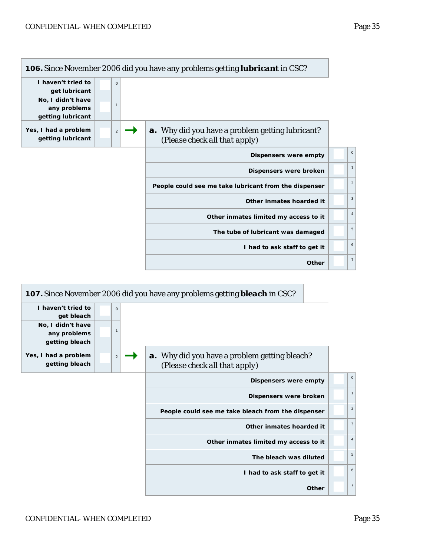

| 107. Since November 2006 did you have any problems getting <b>bleach</b> in CSC?      |                |                                                     |
|---------------------------------------------------------------------------------------|----------------|-----------------------------------------------------|
|                                                                                       | $\circ$        | I haven't tried to<br>get bleach                    |
|                                                                                       | $\mathbf{1}$   | No, I didn't have<br>any problems<br>getting bleach |
| <b>a.</b> Why did you have a problem getting bleach?<br>(Please check all that apply) | $\overline{2}$ | Yes, I had a problem<br>getting bleach              |
| Dispensers were empty                                                                 |                |                                                     |
| Dispensers were broken                                                                |                |                                                     |
| People could see me take bleach from the dispenser                                    |                |                                                     |
| Other inmates hoarded it                                                              |                |                                                     |
| Other inmates limited my access to it                                                 |                |                                                     |
| The bleach was diluted                                                                |                |                                                     |
| I had to ask staff to get it                                                          |                |                                                     |
| Other                                                                                 |                |                                                     |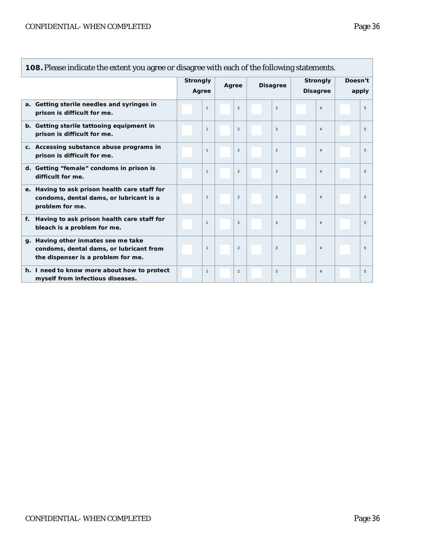$\blacksquare$ 

| 108. Please indicate the extent you agree or disagree with each of the following statements.                         |  |                                   |  |                |                 |                |                                    |                |                  |   |
|----------------------------------------------------------------------------------------------------------------------|--|-----------------------------------|--|----------------|-----------------|----------------|------------------------------------|----------------|------------------|---|
|                                                                                                                      |  | <b>Strongly</b><br>Agree<br>Agree |  |                | <b>Disagree</b> |                | <b>Strongly</b><br><b>Disagree</b> |                | Doesn't<br>apply |   |
| a. Getting sterile needles and syringes in<br>prison is difficult for me.                                            |  | $\mathbf{1}$                      |  | 2              |                 | 3              |                                    | $\overline{4}$ |                  | 5 |
| b. Getting sterile tattooing equipment in<br>prison is difficult for me.                                             |  | $\mathbf{1}$                      |  | 2              |                 | 3              |                                    | $\overline{4}$ |                  | 5 |
| c. Accessing substance abuse programs in<br>prison is difficult for me.                                              |  | $\mathbf{1}$                      |  | $\overline{2}$ |                 | 3              |                                    | $\overline{4}$ |                  | 5 |
| d. Getting "female" condoms in prison is<br>difficult for me.                                                        |  | $\mathbf{1}$                      |  | $\overline{2}$ |                 | 3              |                                    | $\overline{4}$ |                  | 5 |
| e. Having to ask prison health care staff for<br>condoms, dental dams, or lubricant is a<br>problem for me.          |  | $\mathbf{1}$                      |  | $\overline{2}$ |                 | $\overline{3}$ |                                    | $\overline{4}$ |                  | 5 |
| f. Having to ask prison health care staff for<br>bleach is a problem for me.                                         |  | $\mathbf{1}$                      |  | $\overline{2}$ |                 | 3              |                                    | $\overline{4}$ |                  | 5 |
| g. Having other inmates see me take<br>condoms, dental dams, or lubricant from<br>the dispenser is a problem for me. |  | $\mathbf{1}$                      |  | $\overline{2}$ |                 | 3              |                                    | $\overline{4}$ |                  | 5 |
| h. I need to know more about how to protect<br>myself from infectious diseases.                                      |  | $\mathbf{1}$                      |  | 2              |                 | 3              |                                    | $\overline{4}$ |                  | 5 |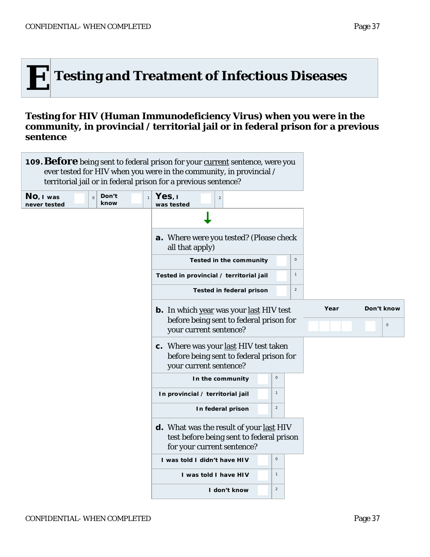

#### **Testing for HIV (Human Immunodeficiency Virus) when you were in the community, in provincial / territorial jail or in federal prison for a previous sentence**

| territorial jail or in federal prison for a previous sentence?        | 109. Before being sent to federal prison for your current sentence, were you<br>ever tested for HIV when you were in the community, in provincial / |                     |
|-----------------------------------------------------------------------|-----------------------------------------------------------------------------------------------------------------------------------------------------|---------------------|
| Don't<br>No, I was<br>$\circ$<br>$\mathbf{1}$<br>know<br>never tested | Yes, I<br>$\overline{2}$<br>was tested                                                                                                              |                     |
|                                                                       |                                                                                                                                                     |                     |
|                                                                       | <b>a.</b> Where were you tested? (Please check<br>all that apply)                                                                                   |                     |
|                                                                       | $\mathsf{O}\xspace$<br><b>Tested in the community</b>                                                                                               |                     |
|                                                                       | $\mathbf{1}$<br>Tested in provincial / territorial jail                                                                                             |                     |
|                                                                       | $\overline{2}$<br>Tested in federal prison                                                                                                          |                     |
|                                                                       | <b>b.</b> In which year was your last HIV test                                                                                                      | Don't know<br>Year  |
|                                                                       | before being sent to federal prison for<br>your current sentence?                                                                                   | $\mathsf{O}\xspace$ |
|                                                                       | c. Where was your last HIV test taken<br>before being sent to federal prison for<br>your current sentence?                                          |                     |
|                                                                       | $\mathsf{O}\xspace$<br>In the community                                                                                                             |                     |
|                                                                       | $\mathbf{1}$<br>In provincial / territorial jail                                                                                                    |                     |
|                                                                       | $\overline{a}$<br>In federal prison                                                                                                                 |                     |
|                                                                       | d. What was the result of your last HIV<br>test before being sent to federal prison<br>for your current sentence?                                   |                     |
|                                                                       | $\mathsf O$<br>I was told I didn't have HIV                                                                                                         |                     |
|                                                                       | $\mathbf{1}$<br>I was told I have HIV                                                                                                               |                     |
|                                                                       | $\overline{2}$<br>I don't know                                                                                                                      |                     |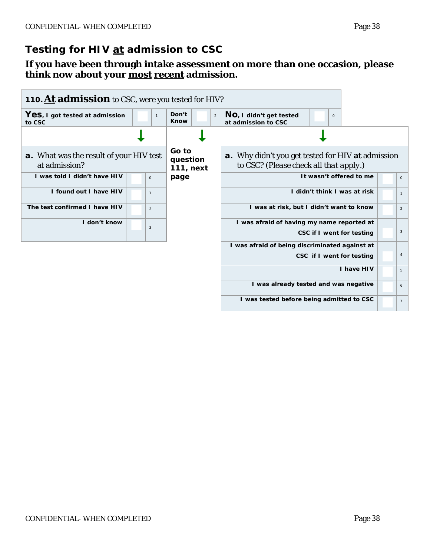# **Testing for HIV at admission to CSC**

#### **If you have been through intake assessment on more than one occasion, please think now about your most recent admission.**

| 110. At admission to CSC, were you tested for HIV?              |                |                                        |                                                                                                    |                |
|-----------------------------------------------------------------|----------------|----------------------------------------|----------------------------------------------------------------------------------------------------|----------------|
| Yes, I got tested at admission<br>to CSC                        | $\mathbf{1}$   | Don't<br>$\overline{2}$<br><b>Know</b> | NO, I didn't get tested<br>$\mathbf 0$<br>at admission to CSC                                      |                |
|                                                                 |                |                                        |                                                                                                    |                |
| <b>a.</b> What was the result of your HIV test<br>at admission? |                | Go to<br>question<br>111, next         | <b>a.</b> Why didn't you get tested for HIV at admission<br>to CSC? (Please check all that apply.) |                |
| I was told I didn't have HIV                                    | $\mathsf O$    | page                                   | It wasn't offered to me                                                                            | $\circ$        |
| I found out I have HIV                                          | $\mathbf{1}$   |                                        | I didn't think I was at risk                                                                       | $\mathbf{1}$   |
| The test confirmed I have HIV                                   | $\overline{2}$ |                                        | I was at risk, but I didn't want to know                                                           | $\overline{a}$ |
| I don't know                                                    | 3              |                                        | I was afraid of having my name reported at<br>CSC if I went for testing                            | 3              |
|                                                                 |                |                                        | I was afraid of being discriminated against at                                                     |                |
|                                                                 |                |                                        | CSC if I went for testing                                                                          | $\overline{4}$ |
|                                                                 |                |                                        | I have HIV                                                                                         | 5              |
|                                                                 |                |                                        | I was already tested and was negative                                                              | 6              |
|                                                                 |                |                                        | I was tested before being admitted to CSC                                                          | $\overline{7}$ |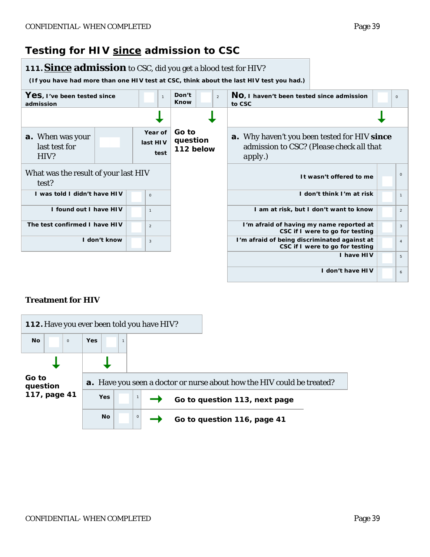## **Testing for HIV since admission to CSC**



#### **Treatment for HIV**

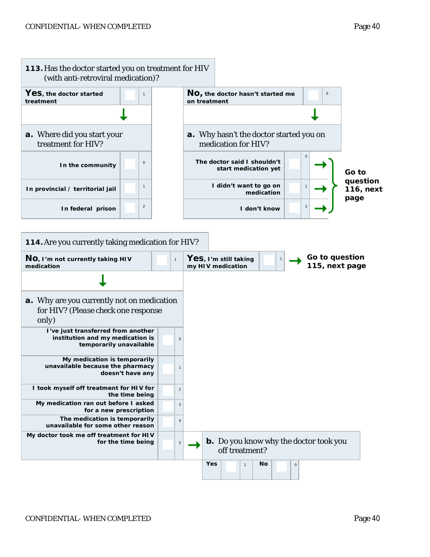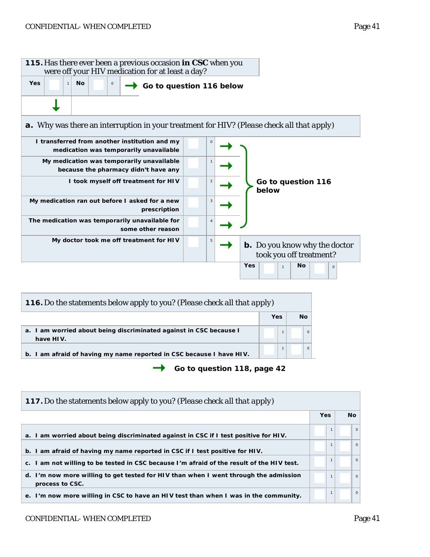

| 116. Do the statements below apply to you? (Please check all that apply)        |     |    |  |  |  |  |  |  |  |
|---------------------------------------------------------------------------------|-----|----|--|--|--|--|--|--|--|
|                                                                                 | Yes | Νo |  |  |  |  |  |  |  |
| a. I am worried about being discriminated against in CSC because I<br>have HIV. |     |    |  |  |  |  |  |  |  |
| b. I am afraid of having my name reported in CSC because I have HIV.            |     |    |  |  |  |  |  |  |  |

*Go to question 118, page 42*

| <b>117.</b> Do the statements below apply to you? ( <i>Please check all that apply</i> )                |            |              |          |
|---------------------------------------------------------------------------------------------------------|------------|--------------|----------|
|                                                                                                         | <b>Yes</b> |              | No.      |
| a. I am worried about being discriminated against in CSC if I test positive for HIV.                    |            |              | $\circ$  |
| b. I am afraid of having my name reported in CSC if I test positive for HIV.                            |            |              | $\Omega$ |
| c. I am not willing to be tested in CSC because I'm afraid of the result of the HIV test.               |            | $\mathbf{1}$ | $\circ$  |
| d. I'm now more willing to get tested for HIV than when I went through the admission<br>process to CSC. |            | $\mathbf{1}$ | $\circ$  |
| e. I'm now more willing in CSC to have an HIV test than when I was in the community.                    |            |              | $\circ$  |

#### CONFIDENTIAL-WHEN COMPLETED Page 41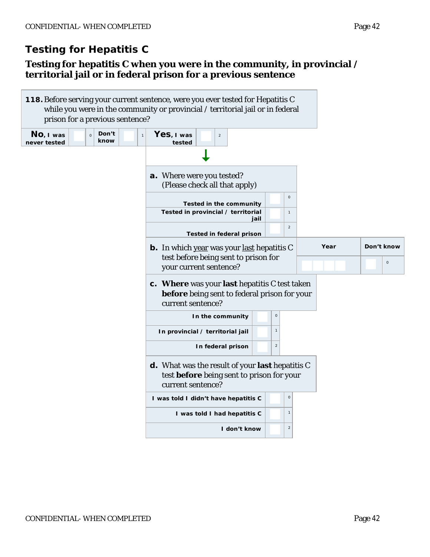## **Testing for hepatitis C when you were in the community, in provincial / territorial jail or in federal prison for a previous sentence**

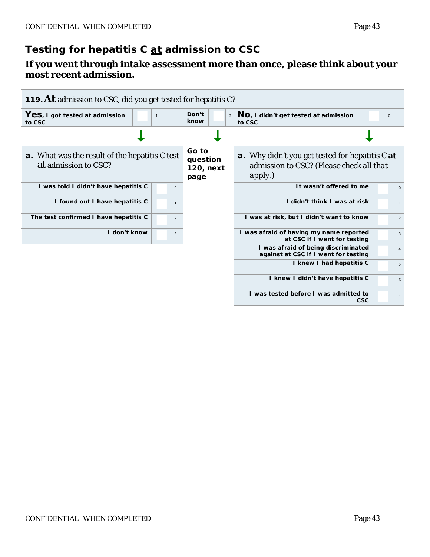# **Testing for hepatitis C at admission to CSC**

#### **If you went through intake assessment more than once, please think about your most recent admission.**

| 119. At admission to CSC, did you get tested for hepatitis C?                 |              |                |                                        |   |                                                                                                               |  |                |  |  |  |
|-------------------------------------------------------------------------------|--------------|----------------|----------------------------------------|---|---------------------------------------------------------------------------------------------------------------|--|----------------|--|--|--|
| Yes, I got tested at admission<br>to CSC                                      | $\mathbf{1}$ |                | Don't<br>know                          | 2 | NO, I didn't get tested at admission<br>to CSC                                                                |  |                |  |  |  |
|                                                                               |              |                |                                        |   |                                                                                                               |  |                |  |  |  |
| <b>a.</b> What was the result of the hepatitis C test<br>at admission to CSC? |              |                | Go to<br>question<br>120, next<br>page |   | <b>a.</b> Why didn't you get tested for hepatitis C at<br>admission to CSC? (Please check all that<br>apply.) |  |                |  |  |  |
| I was told I didn't have hepatitis C                                          |              | $\circ$        |                                        |   | It wasn't offered to me                                                                                       |  | $\Omega$       |  |  |  |
| I found out I have hepatitis C                                                |              | $\mathbf{1}$   |                                        |   | I didn't think I was at risk                                                                                  |  | $\mathbf{1}$   |  |  |  |
| The test confirmed I have hepatitis C                                         |              | $\overline{2}$ |                                        |   | I was at risk, but I didn't want to know                                                                      |  | $\overline{2}$ |  |  |  |
| I don't know                                                                  |              | 3              |                                        |   | I was afraid of having my name reported<br>at CSC if I went for testing                                       |  | 3              |  |  |  |
|                                                                               |              |                |                                        |   | I was afraid of being discriminated<br>against at CSC if I went for testing                                   |  | $\overline{4}$ |  |  |  |
|                                                                               |              |                |                                        |   | I knew I had hepatitis C                                                                                      |  | 5              |  |  |  |
|                                                                               |              |                |                                        |   | I knew I didn't have hepatitis C                                                                              |  | 6              |  |  |  |
|                                                                               |              |                |                                        |   | I was tested before I was admitted to<br><b>CSC</b>                                                           |  | $\overline{7}$ |  |  |  |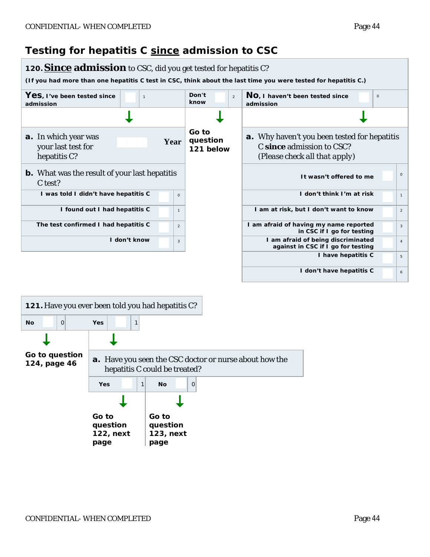# **Testing for hepatitis C since admission to CSC**



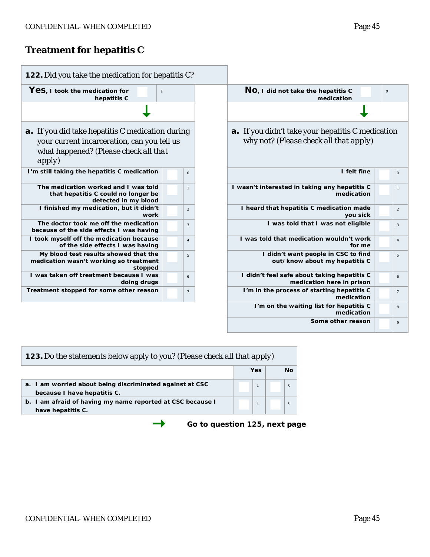# **Treatment for hepatitis C**

| 122. Did you take the medication for hepatitis C?                                                                                                                |                |                                                                                                    |
|------------------------------------------------------------------------------------------------------------------------------------------------------------------|----------------|----------------------------------------------------------------------------------------------------|
| Yes, I took the medication for<br>$\mathbf{1}$<br>hepatitis C                                                                                                    |                | NO, I did not take the hepatitis C<br>medication                                                   |
|                                                                                                                                                                  |                |                                                                                                    |
| <b>a</b> . If you did take hepatitis C medication during<br>your current incarceration, can you tell us<br>what happened? (Please check all that<br><i>apply</i> |                | <b>a.</b> If you didn't take your hepatitis C medication<br>why not? (Please check all that apply) |
| I'm still taking the hepatitis C medication                                                                                                                      | $\circ$        | I felt fine                                                                                        |
| The medication worked and I was told<br>that hepatitis C could no longer be<br>detected in my blood                                                              | $\overline{1}$ | I wasn't interested in taking any hepatitis C<br>medication                                        |
| I finished my medication, but it didn't<br>work                                                                                                                  | $\overline{2}$ | I heard that hepatitis C medication made<br>you sick                                               |
| The doctor took me off the medication<br>because of the side effects I was having                                                                                | $\overline{3}$ | I was told that I was not eligible                                                                 |
| I took myself off the medication because<br>of the side effects I was having                                                                                     | $\overline{4}$ | I was told that medication wouldn't work<br>for me                                                 |
| My blood test results showed that the<br>medication wasn't working so treatment<br>stopped                                                                       | 5              | I didn't want people in CSC to find<br>out/know about my hepatitis C                               |
| I was taken off treatment because I was<br>doing drugs                                                                                                           | 6              | I didn't feel safe about taking hepatitis C<br>medication here in prison                           |
| Treatment stopped for some other reason                                                                                                                          | $\overline{7}$ | I'm in the process of starting hepatitis C<br>medication                                           |
|                                                                                                                                                                  |                | I'm on the waiting list for hepatitis C<br>medication                                              |
|                                                                                                                                                                  |                | Some other reason                                                                                  |

| 123. Do the statements below apply to you? (Please check all that apply)                |  |     |  |          |  |  |  |  |
|-----------------------------------------------------------------------------------------|--|-----|--|----------|--|--|--|--|
|                                                                                         |  | Yes |  | Nο       |  |  |  |  |
| a. I am worried about being discriminated against at CSC<br>because I have hepatitis C. |  |     |  | $\Omega$ |  |  |  |  |
| b. I am afraid of having my name reported at CSC because I<br>have hepatitis C.         |  |     |  | $\Omega$ |  |  |  |  |

*Go to question 125, next page*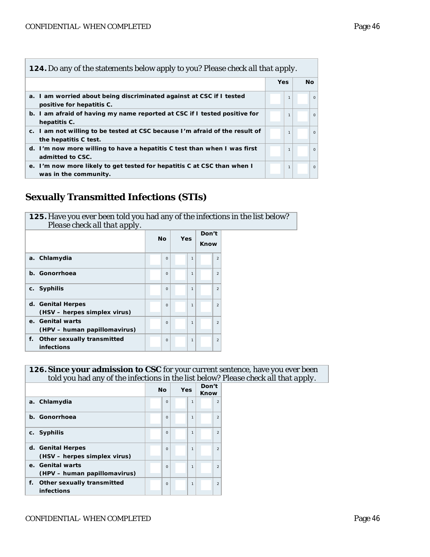| <b>124.</b> Do any of the statements below apply to you? Please check all that apply.                |              |          |  |  |  |  |  |  |  |  |
|------------------------------------------------------------------------------------------------------|--------------|----------|--|--|--|--|--|--|--|--|
|                                                                                                      | <b>Yes</b>   | Nο       |  |  |  |  |  |  |  |  |
| a. I am worried about being discriminated against at CSC if I tested<br>positive for hepatitis C.    | $\mathbf{1}$ | $\Omega$ |  |  |  |  |  |  |  |  |
| b. I am afraid of having my name reported at CSC if I tested positive for<br>hepatitis C.            | $\mathbf{1}$ | $\Omega$ |  |  |  |  |  |  |  |  |
| c. I am not willing to be tested at CSC because I'm afraid of the result of<br>the hepatitis C test. | $\mathbf{1}$ | $\Omega$ |  |  |  |  |  |  |  |  |
| d. I'm now more willing to have a hepatitis C test than when I was first<br>admitted to CSC.         | $\mathbf{1}$ | $\Omega$ |  |  |  |  |  |  |  |  |
| e. I'm now more likely to get tested for hepatitis C at CSC than when I<br>was in the community.     | $\mathbf{1}$ | $\Omega$ |  |  |  |  |  |  |  |  |

## **Sexually Transmitted Infections (STIs)**

| 125. Have you ever been told you had any of the infections in the list below?<br>Please check all that apply. |           |          |     |              |               |                |
|---------------------------------------------------------------------------------------------------------------|-----------|----------|-----|--------------|---------------|----------------|
|                                                                                                               | <b>No</b> |          | Yes |              | Don't<br>Know |                |
| a. Chlamydia                                                                                                  |           | $\circ$  |     | $\mathbf{1}$ |               | $\overline{2}$ |
| Gonorrhoea<br>$\mathbf{b}$ .                                                                                  |           | $\Omega$ |     | $\mathbf{1}$ |               | $\overline{2}$ |
| <b>Syphilis</b><br>C.                                                                                         |           | $\Omega$ |     | $\mathbf{1}$ |               | $\overline{2}$ |
| d. Genital Herpes<br>(HSV – herpes simplex virus)                                                             |           | $\Omega$ |     | $\mathbf{1}$ |               | $\mathfrak{D}$ |
| e. Genital warts<br>(HPV – human papillomavirus)                                                              |           | $\Omega$ |     | $\mathbf{1}$ |               | $\mathfrak{D}$ |
| Other sexually transmitted<br>f.<br><b>infections</b>                                                         |           | $\Omega$ |     | $\mathbf{1}$ |               | $\overline{2}$ |

#### **126.Since your admission to CSC** for your current sentence, have you ever been told you had any of the infections in the list below? *Please check all that apply.*

|                                                   | <b>No</b> | Yes |              | Don't<br>Know |                |
|---------------------------------------------------|-----------|-----|--------------|---------------|----------------|
| a. Chlamydia                                      | $\Omega$  |     | 1            |               | $\overline{2}$ |
| b. Gonorrhoea                                     | $\Omega$  |     | 1            |               | $\mathfrak{D}$ |
| c. Syphilis                                       | $\Omega$  |     | 1            |               | $\mathfrak{D}$ |
| d. Genital Herpes<br>(HSV – herpes simplex virus) | $\Omega$  |     | $\mathbf{1}$ |               | $\mathfrak{p}$ |
| e. Genital warts<br>(HPV - human papillomavirus)  | $\Omega$  |     | 1            |               | $\mathfrak{p}$ |
| f. Other sexually transmitted<br>infections       | $\Omega$  |     | 1            |               | $\mathfrak{p}$ |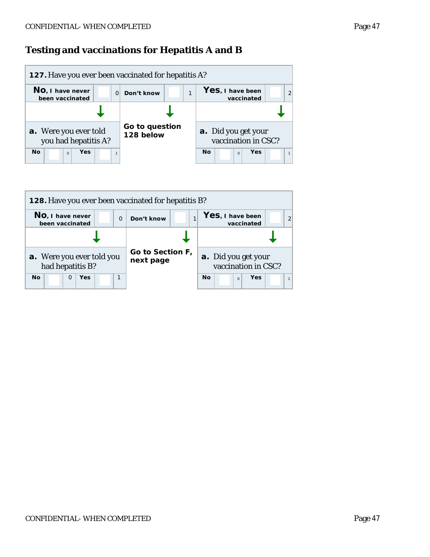## **Testing and vaccinations for Hepatitis A and B**



| <b>128.</b> Have you ever been vaccinated for hepatitis B? |                               |                                            |  |  |  |  |  |  |  |
|------------------------------------------------------------|-------------------------------|--------------------------------------------|--|--|--|--|--|--|--|
| NO, I have never<br>$\Omega$<br>been vaccinated            | Don't know                    | Yes, I have been<br>vaccinated             |  |  |  |  |  |  |  |
|                                                            |                               |                                            |  |  |  |  |  |  |  |
| a. Were you ever told you<br>had hepatitis B?              | Go to Section F,<br>next page | a. Did you get your<br>vaccination in CSC? |  |  |  |  |  |  |  |
| <b>No</b><br>Yes<br>1<br>$\Omega$                          |                               | <b>No</b><br>Yes<br>$\Omega$               |  |  |  |  |  |  |  |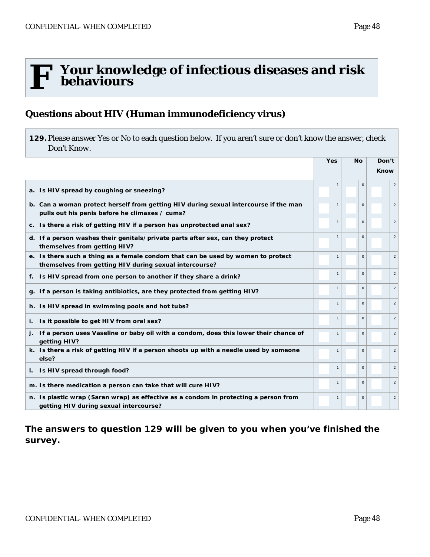# **F Your knowledge of infectious diseases and risk behaviours**

#### **Questions about HIV (Human immunodeficiency virus)**

<span id="page-69-0"></span>**129.**Please answer *Yes* or *No* to each question below. If you aren't sure or don't know the answer, check *Don't Know*.

|                                                                                                                                            | Yes |                | <b>No</b> | Don't    |                |
|--------------------------------------------------------------------------------------------------------------------------------------------|-----|----------------|-----------|----------|----------------|
|                                                                                                                                            |     |                |           |          | Know           |
| a. Is HIV spread by coughing or sneezing?                                                                                                  |     | $\overline{1}$ |           | $\Omega$ | 2              |
| b. Can a woman protect herself from getting HIV during sexual intercourse if the man<br>pulls out his penis before he climaxes / cums?     |     | $\mathbf{1}$   |           | $\Omega$ | $\overline{c}$ |
| c. Is there a risk of getting HIV if a person has unprotected anal sex?                                                                    |     | $\mathbf{1}$   |           | $\Omega$ | $\overline{2}$ |
| d. If a person washes their genitals/private parts after sex, can they protect<br>themselves from getting HIV?                             |     | $\mathbf{1}$   |           | $\Omega$ | $\overline{2}$ |
| e. Is there such a thing as a female condom that can be used by women to protect<br>themselves from getting HIV during sexual intercourse? |     | $\mathbf{1}$   |           | $\Omega$ | $\overline{2}$ |
| f. Is HIV spread from one person to another if they share a drink?                                                                         |     | $\mathbf{1}$   |           | $\Omega$ | $\overline{2}$ |
| g. If a person is taking antibiotics, are they protected from getting HIV?                                                                 |     | $\mathbf{1}$   |           | $\Omega$ | $\overline{2}$ |
| h. Is HIV spread in swimming pools and hot tubs?                                                                                           |     | $\overline{1}$ |           | $\circ$  | $\overline{2}$ |
| i. Is it possible to get HIV from oral sex?                                                                                                |     | $\mathbf{1}$   |           | $\Omega$ | $\overline{c}$ |
| j. If a person uses Vaseline or baby oil with a condom, does this lower their chance of<br>getting HIV?                                    |     | $\mathbf{1}$   |           | $\Omega$ | $\overline{2}$ |
| k. Is there a risk of getting HIV if a person shoots up with a needle used by someone<br>else?                                             |     | $\mathbf{1}$   | $\Omega$  |          | $\overline{2}$ |
| I. Is HIV spread through food?                                                                                                             |     | $\mathbf{1}$   |           | $\Omega$ | $\overline{2}$ |
| m. Is there medication a person can take that will cure HIV?                                                                               |     | $\mathbf{1}$   |           | $\Omega$ | $\overline{2}$ |
| n. Is plastic wrap (Saran wrap) as effective as a condom in protecting a person from<br>getting HIV during sexual intercourse?             |     | $\mathbf{1}$   |           | $\Omega$ | $\overline{2}$ |

*The answers to question 129 will be given to you when you've finished the survey.*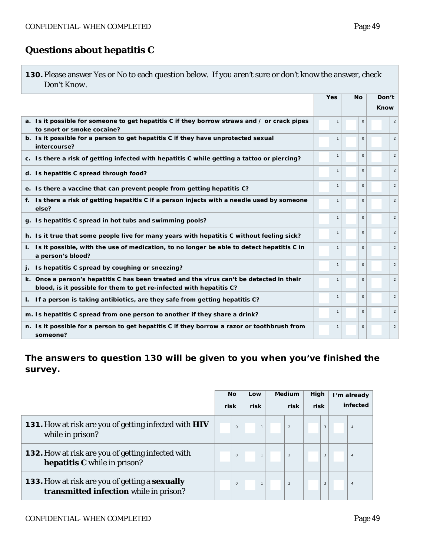## **Questions about hepatitis C**

<span id="page-70-0"></span>

|             | 130. Please answer Yes or No to each question below. If you aren't sure or don't know the answer, check |
|-------------|---------------------------------------------------------------------------------------------------------|
| Don't Know. |                                                                                                         |

|                                                                                                                                                                 | <b>Yes</b> |              | <b>No</b>    | Don't          |  |
|-----------------------------------------------------------------------------------------------------------------------------------------------------------------|------------|--------------|--------------|----------------|--|
|                                                                                                                                                                 |            |              |              | <b>Know</b>    |  |
| a. Is it possible for someone to get hepatitis C if they borrow straws and / or crack pipes<br>to snort or smoke cocaine?                                       |            |              | $\Omega$     | $\sqrt{2}$     |  |
| b. Is it possible for a person to get hepatitis C if they have unprotected sexual<br>intercourse?                                                               |            | $\mathbf{1}$ | $\Omega$     | 2              |  |
| c. Is there a risk of getting infected with hepatitis C while getting a tattoo or piercing?                                                                     |            | $\mathbf{1}$ | $\Omega$     | $\overline{2}$ |  |
| d. Is hepatitis C spread through food?                                                                                                                          |            | $\mathbf{1}$ | $\Omega$     | $\overline{2}$ |  |
| e. Is there a vaccine that can prevent people from getting hepatitis C?                                                                                         |            | $\mathbf{1}$ | $\Omega$     | $\overline{2}$ |  |
| f. Is there a risk of getting hepatitis C if a person injects with a needle used by someone<br>else?                                                            |            | $\mathbf{1}$ | $\Omega$     | $\overline{2}$ |  |
| g. Is hepatitis C spread in hot tubs and swimming pools?                                                                                                        |            | $\mathbf{1}$ | $\mathbf{O}$ | 2              |  |
| h. Is it true that some people live for many years with hepatitis C without feeling sick?                                                                       |            | $\mathbf{1}$ | $\Omega$     | $\overline{2}$ |  |
| Is it possible, with the use of medication, to no longer be able to detect hepatitis C in<br>i.<br>a person's blood?                                            |            | $\mathbf{1}$ | $\Omega$     | $\overline{2}$ |  |
| Is hepatitis C spread by coughing or sneezing?                                                                                                                  |            | $\mathbf{1}$ | $\Omega$     | $\overline{2}$ |  |
| k. Once a person's hepatitis C has been treated and the virus can't be detected in their<br>blood, is it possible for them to get re-infected with hepatitis C? |            | $\mathbf{1}$ | $\Omega$     | $\overline{2}$ |  |
| If a person is taking antibiotics, are they safe from getting hepatitis C?<br>L.                                                                                |            | $\mathbf{1}$ | $\Omega$     | 2              |  |
| m. Is hepatitis C spread from one person to another if they share a drink?                                                                                      |            | $\mathbf{1}$ | $\Omega$     | $\overline{2}$ |  |
| n. Is it possible for a person to get hepatitis C if they borrow a razor or toothbrush from<br>someone?                                                         |            | $\mathbf{1}$ | $\circ$      | $\overline{2}$ |  |

## *The answers to question 130 will be given to you when you've finished the survey.*

|                                                                                                        | No<br>risk |          |      |              | Low |                | Medium |   | High     |                | I'm already |  |
|--------------------------------------------------------------------------------------------------------|------------|----------|------|--------------|-----|----------------|--------|---|----------|----------------|-------------|--|
|                                                                                                        |            |          | risk |              |     | risk           | risk   |   | infected |                |             |  |
| 131. How at risk are you of getting infected with HIV<br>while in prison?                              |            | $\Omega$ |      | $\mathbf{1}$ |     | $\overline{2}$ |        | 3 |          |                |             |  |
| <b>132.</b> How at risk are you of getting infected with<br><b>hepatitis C</b> while in prison?        |            | $\Omega$ |      | $\mathbf{1}$ |     | $\overline{2}$ |        | 3 |          | $\overline{4}$ |             |  |
| <b>133.</b> How at risk are you of getting a <b>sexually</b><br>transmitted infection while in prison? |            | $\Omega$ |      | $\mathbf{1}$ |     | $\overline{2}$ |        | 3 |          | $\overline{4}$ |             |  |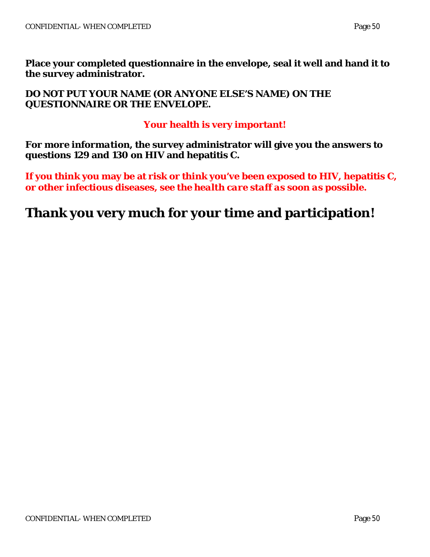**Place your completed questionnaire in the envelope, seal it well and hand it to the survey administrator.** 

**DO NOT PUT YOUR NAME (OR ANYONE ELSE'S NAME) ON THE QUESTIONNAIRE OR THE ENVELOPE.**

## **Your health is very important!**

*For more information***, the survey administrator will give you the answers to questions [129](#page-69-0) and [130](#page-70-0) on HIV and hepatitis C.**

**If you think you may be at risk or think you've been exposed to HIV, hepatitis C, or other infectious diseases,** *see the health care staff as soon as possible***.**

# **Thank you very much for your time and participation!**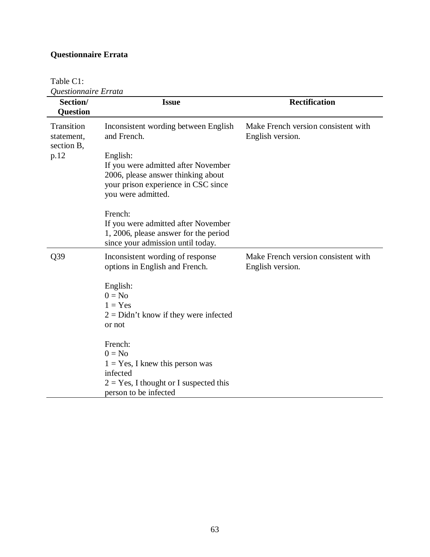### **Questionnaire Errata**

Table C1:

| Questionnaire Errata<br>Section/       | <b>Issue</b>                                                                                                                                | <b>Rectification</b>                                    |
|----------------------------------------|---------------------------------------------------------------------------------------------------------------------------------------------|---------------------------------------------------------|
| <b>Question</b>                        |                                                                                                                                             |                                                         |
|                                        |                                                                                                                                             |                                                         |
| Transition<br>statement,<br>section B, | Inconsistent wording between English<br>and French.                                                                                         | Make French version consistent with<br>English version. |
| p.12                                   | English:                                                                                                                                    |                                                         |
|                                        | If you were admitted after November<br>2006, please answer thinking about<br>your prison experience in CSC since<br>you were admitted.      |                                                         |
|                                        | French:                                                                                                                                     |                                                         |
|                                        | If you were admitted after November<br>1, 2006, please answer for the period<br>since your admission until today.                           |                                                         |
| Q39                                    | Inconsistent wording of response<br>options in English and French.                                                                          | Make French version consistent with<br>English version. |
|                                        | English:<br>$0 = No$<br>$1 = Yes$<br>$2 =$ Didn't know if they were infected<br>or not                                                      |                                                         |
|                                        | French:<br>$0 = No$<br>$1 = Yes$ , I knew this person was<br>infected<br>$2 = Yes$ , I thought or I suspected this<br>person to be infected |                                                         |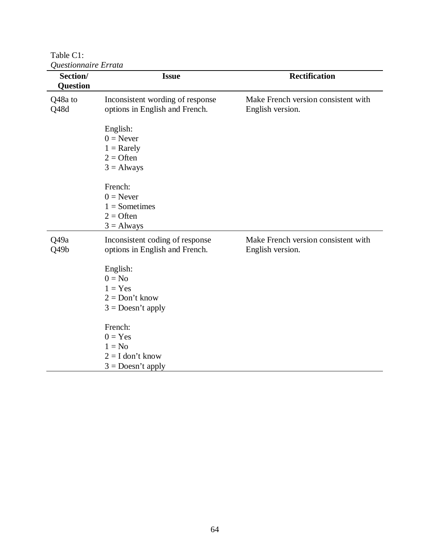Table C1:

| Section/<br><b>Question</b> | <b>Issue</b>                                                                        | <b>Rectification</b>                                    |
|-----------------------------|-------------------------------------------------------------------------------------|---------------------------------------------------------|
| Q48a to<br>Q48d             | Inconsistent wording of response<br>options in English and French.                  | Make French version consistent with<br>English version. |
|                             | English:<br>$0 =$ Never<br>$1 =$ Rarely<br>$2 =$ Often<br>$3 =$ Always              |                                                         |
|                             | French:<br>$0 =$ Never<br>$1 =$ Sometimes<br>$2 =$ Often<br>$3 =$ Always            |                                                         |
| Q49a<br>Q49b                | Inconsistent coding of response<br>options in English and French.                   | Make French version consistent with<br>English version. |
|                             | English:<br>$0 = No$<br>$1 = Yes$<br>$2 = Don't know$<br>$3 = \text{Does}$ t apply  |                                                         |
|                             | French:<br>$0 = Yes$<br>$1 = No$<br>$2 = I$ don't know<br>$3 = \text{Does}$ t apply |                                                         |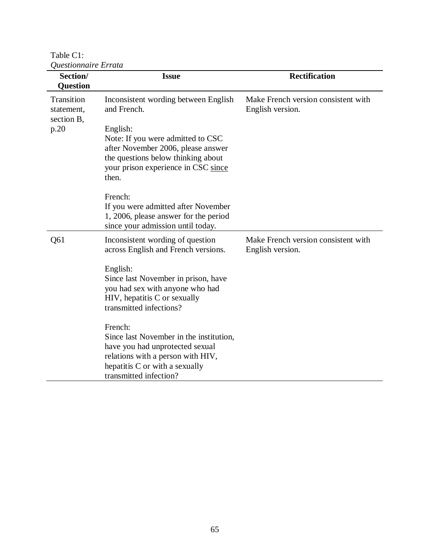Table C1:

| Questionnaire Errata                   |                                                                         |                                                         |  |  |
|----------------------------------------|-------------------------------------------------------------------------|---------------------------------------------------------|--|--|
| Section/                               | <b>Issue</b>                                                            | <b>Rectification</b>                                    |  |  |
| <b>Question</b>                        |                                                                         |                                                         |  |  |
| Transition<br>statement,<br>section B, | Inconsistent wording between English<br>and French.                     | Make French version consistent with<br>English version. |  |  |
| p.20                                   | English:                                                                |                                                         |  |  |
|                                        | Note: If you were admitted to CSC                                       |                                                         |  |  |
|                                        | after November 2006, please answer                                      |                                                         |  |  |
|                                        | the questions below thinking about                                      |                                                         |  |  |
|                                        | your prison experience in CSC since                                     |                                                         |  |  |
|                                        | then.                                                                   |                                                         |  |  |
|                                        | French:                                                                 |                                                         |  |  |
|                                        | If you were admitted after November                                     |                                                         |  |  |
|                                        | 1, 2006, please answer for the period                                   |                                                         |  |  |
|                                        | since your admission until today.                                       |                                                         |  |  |
| Q61                                    | Inconsistent wording of question<br>across English and French versions. | Make French version consistent with<br>English version. |  |  |
|                                        | English:                                                                |                                                         |  |  |
|                                        | Since last November in prison, have                                     |                                                         |  |  |
|                                        | you had sex with anyone who had                                         |                                                         |  |  |
|                                        | HIV, hepatitis C or sexually                                            |                                                         |  |  |
|                                        | transmitted infections?                                                 |                                                         |  |  |
|                                        | French:                                                                 |                                                         |  |  |
|                                        | Since last November in the institution,                                 |                                                         |  |  |
|                                        | have you had unprotected sexual                                         |                                                         |  |  |
|                                        | relations with a person with HIV,                                       |                                                         |  |  |
|                                        | hepatitis C or with a sexually                                          |                                                         |  |  |
|                                        | transmitted infection?                                                  |                                                         |  |  |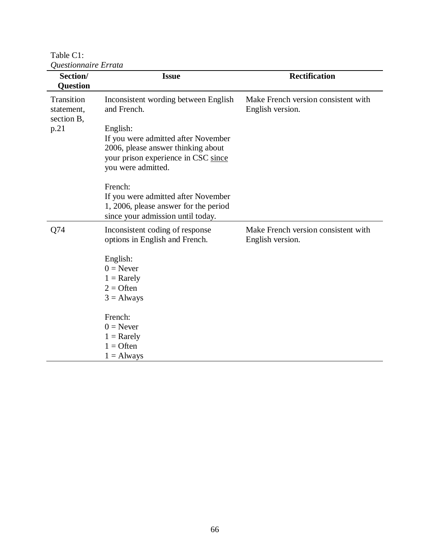Table C1: *Questionnaire Errata*

| Section/<br><b>Question</b>            | <b>Issue</b>                                                                                                                                       | <b>Rectification</b>                                    |
|----------------------------------------|----------------------------------------------------------------------------------------------------------------------------------------------------|---------------------------------------------------------|
| Transition<br>statement,<br>section B, | Inconsistent wording between English<br>and French.                                                                                                | Make French version consistent with<br>English version. |
| p.21                                   | English:<br>If you were admitted after November<br>2006, please answer thinking about<br>your prison experience in CSC since<br>you were admitted. |                                                         |
|                                        | French:<br>If you were admitted after November<br>1, 2006, please answer for the period<br>since your admission until today.                       |                                                         |
| Q74                                    | Inconsistent coding of response<br>options in English and French.                                                                                  | Make French version consistent with<br>English version. |
|                                        | English:<br>$0 =$ Never<br>$1 =$ Rarely<br>$2 =$ Often<br>$3 =$ Always                                                                             |                                                         |
|                                        | French:<br>$0 =$ Never<br>$1 =$ Rarely<br>$1 =$ Often<br>$1 =$ Always                                                                              |                                                         |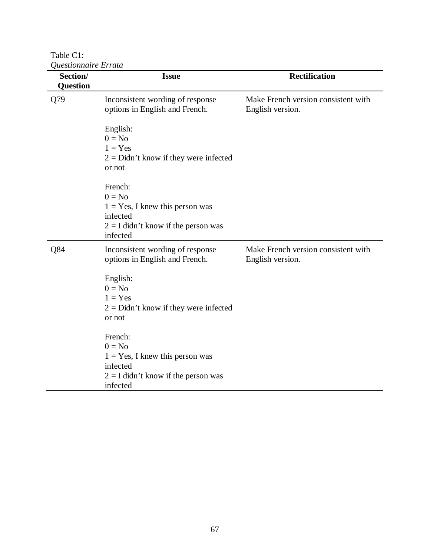Table C1:

| Questionnaire Errata |                                         |                                     |
|----------------------|-----------------------------------------|-------------------------------------|
| Section/             | <b>Issue</b>                            | <b>Rectification</b>                |
| Question             |                                         |                                     |
| Q79                  | Inconsistent wording of response        | Make French version consistent with |
|                      | options in English and French.          | English version.                    |
|                      | English:                                |                                     |
|                      | $0 = No$                                |                                     |
|                      | $1 = Yes$                               |                                     |
|                      | $2 =$ Didn't know if they were infected |                                     |
|                      | or not                                  |                                     |
|                      | French:                                 |                                     |
|                      | $0 = No$                                |                                     |
|                      | $1 = Yes$ , I knew this person was      |                                     |
|                      | infected                                |                                     |
|                      | $2 = I$ didn't know if the person was   |                                     |
|                      | infected                                |                                     |
| Q84                  | Inconsistent wording of response        | Make French version consistent with |
|                      | options in English and French.          | English version.                    |
|                      | English:                                |                                     |
|                      | $0 = No$                                |                                     |
|                      | $1 = Yes$                               |                                     |
|                      | $2 =$ Didn't know if they were infected |                                     |
|                      | or not                                  |                                     |
|                      | French:                                 |                                     |
|                      | $0 = No$                                |                                     |
|                      | $1 = Yes$ , I knew this person was      |                                     |
|                      | infected                                |                                     |
|                      | $2 = I$ didn't know if the person was   |                                     |
|                      | infected                                |                                     |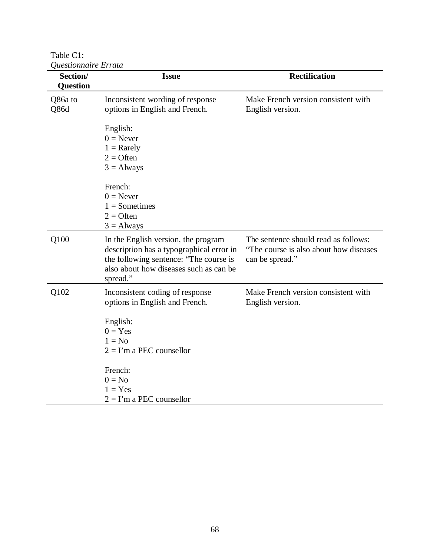Table C1:<br>*Questionno Questionnaire Errata*

| Section/<br><b>Question</b> | <b>Issue</b>                                                                                                                                                                    | <b>Rectification</b>                                                                               |
|-----------------------------|---------------------------------------------------------------------------------------------------------------------------------------------------------------------------------|----------------------------------------------------------------------------------------------------|
| Q86a to<br>Q86d             | Inconsistent wording of response<br>options in English and French.                                                                                                              | Make French version consistent with<br>English version.                                            |
|                             | English:<br>$0 =$ Never<br>$1 =$ Rarely<br>$2 =$ Often<br>$3 =$ Always                                                                                                          |                                                                                                    |
|                             | French:<br>$0 =$ Never<br>$1 =$ Sometimes<br>$2 =$ Often<br>$3 =$ Always                                                                                                        |                                                                                                    |
| Q100                        | In the English version, the program<br>description has a typographical error in<br>the following sentence: "The course is<br>also about how diseases such as can be<br>spread." | The sentence should read as follows:<br>"The course is also about how diseases"<br>can be spread." |
| Q102                        | Inconsistent coding of response<br>options in English and French.                                                                                                               | Make French version consistent with<br>English version.                                            |
|                             | English:<br>$0 = Yes$<br>$1 = No$<br>$2 = I'm$ a PEC counsellor                                                                                                                 |                                                                                                    |
|                             | French:<br>$0 = No$<br>$1 = Yes$<br>$2 = I'm$ a PEC counsellor                                                                                                                  |                                                                                                    |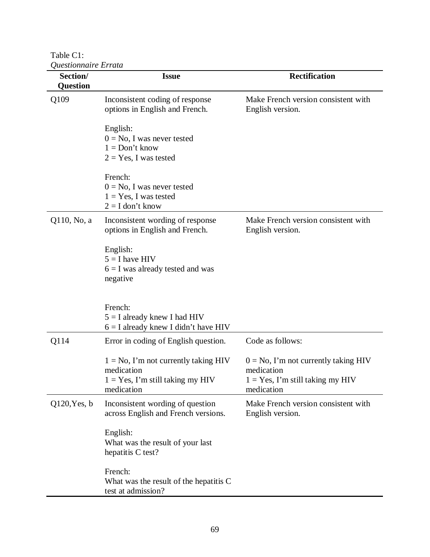Table C1:

| Questionnaire Errata |                                                                                                            |                                                                                                            |  |  |
|----------------------|------------------------------------------------------------------------------------------------------------|------------------------------------------------------------------------------------------------------------|--|--|
| Section/<br>Question | <b>Issue</b>                                                                                               | <b>Rectification</b>                                                                                       |  |  |
|                      |                                                                                                            |                                                                                                            |  |  |
| Q109                 | Inconsistent coding of response<br>options in English and French.                                          | Make French version consistent with<br>English version.                                                    |  |  |
|                      | English:<br>$0 = No$ , I was never tested<br>$1 = Don't know$<br>$2 = Yes$ , I was tested                  |                                                                                                            |  |  |
|                      | French:<br>$0 = No$ , I was never tested<br>$1 = Yes$ , I was tested<br>$2 = I$ don't know                 |                                                                                                            |  |  |
| Q110, No, a          | Inconsistent wording of response<br>options in English and French.                                         | Make French version consistent with<br>English version.                                                    |  |  |
|                      | English:<br>$5 = I$ have HIV<br>$6 = I$ was already tested and was<br>negative                             |                                                                                                            |  |  |
|                      | French:<br>$5 = I$ already knew I had HIV<br>$6 = I$ already knew I didn't have HIV                        |                                                                                                            |  |  |
| Q114                 | Error in coding of English question.                                                                       | Code as follows:                                                                                           |  |  |
|                      | $1 = No$ , I'm not currently taking HIV<br>medication<br>$1 = Yes$ , I'm still taking my HIV<br>medication | $0 = No$ , I'm not currently taking HIV<br>medication<br>$1 = Yes$ , I'm still taking my HIV<br>medication |  |  |
| $Q120$ , Yes, b      | Inconsistent wording of question<br>across English and French versions.                                    | Make French version consistent with<br>English version.                                                    |  |  |
|                      | English:<br>What was the result of your last<br>hepatitis C test?                                          |                                                                                                            |  |  |
|                      | French:<br>What was the result of the hepatitis C<br>test at admission?                                    |                                                                                                            |  |  |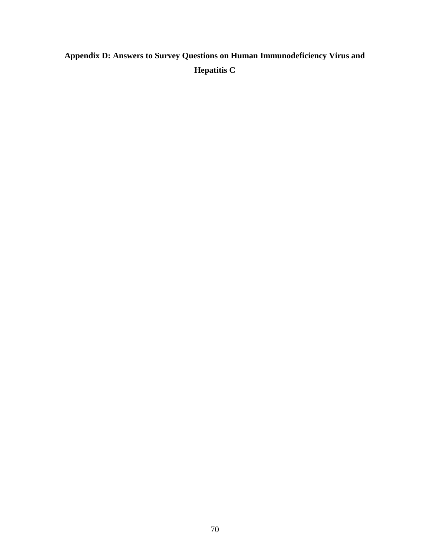## **Appendix D: Answers to Survey Questions on Human Immunodeficiency Virus and Hepatitis C**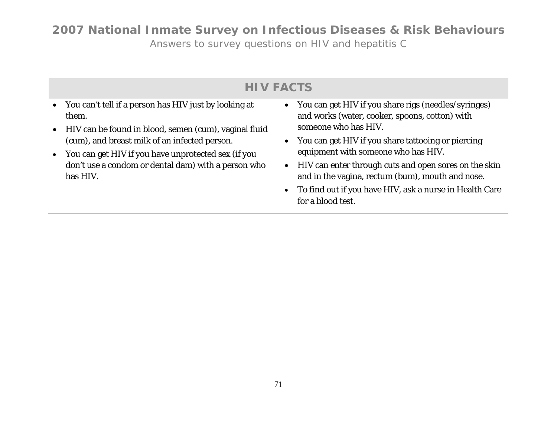*Answers to survey questions on HIV and hepatitis C*

## **HIV FACTS**

- You can't tell if a person has HIV just by looking at them.
- HIV can be found in blood, semen (cum), vaginal fluid (cum), and breast milk of an infected person.
- You can get HIV if you have unprotected sex (if you don't use a condom or dental dam) with a person who has HIV.
- You can get HIV if you share rigs (needles/syringes) and works (water, cooker, spoons, cotton) with someone who has HIV.
- You can get HIV if you share tattooing or piercing equipment with someone who has HIV.
- HIV can enter through cuts and open sores on the skin and in the vagina, rectum (bum), mouth and nose.
- To find out if you have HIV, ask a nurse in Health Care for a blood test.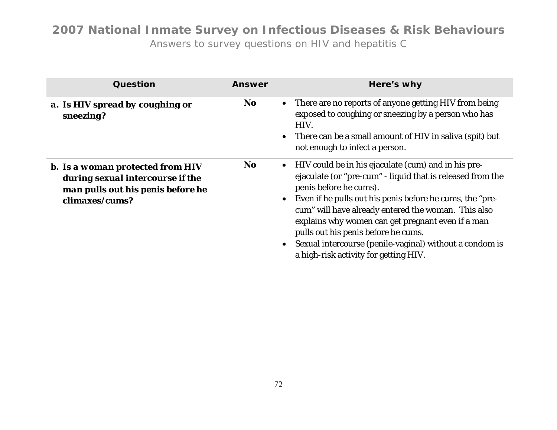| Question                                                                                                                           | <b>Answer</b> | Here's why                                                                                                                                                                                                                                                                                                                                                                                                                                                     |
|------------------------------------------------------------------------------------------------------------------------------------|---------------|----------------------------------------------------------------------------------------------------------------------------------------------------------------------------------------------------------------------------------------------------------------------------------------------------------------------------------------------------------------------------------------------------------------------------------------------------------------|
| a. Is HIV spread by coughing or<br>sneezing?                                                                                       | <b>No</b>     | There are no reports of anyone getting HIV from being<br>exposed to coughing or sneezing by a person who has<br>HIV.<br>There can be a small amount of HIV in saliva (spit) but<br>not enough to infect a person.                                                                                                                                                                                                                                              |
| <b>b.</b> Is a woman protected from HIV<br>during sexual intercourse if the<br>man pulls out his penis before he<br>climaxes/cums? | <b>No</b>     | HIV could be in his ejaculate (cum) and in his pre-<br>ejaculate (or "pre-cum" - liquid that is released from the<br>penis before he cums).<br>Even if he pulls out his penis before he cums, the "pre-<br>cum" will have already entered the woman. This also<br>explains why women can get pregnant even if a man<br>pulls out his penis before he cums.<br>Sexual intercourse (penile-vaginal) without a condom is<br>a high-risk activity for getting HIV. |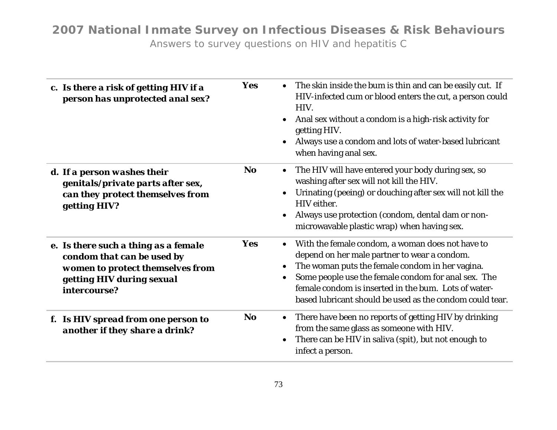| c. Is there a risk of getting HIV if a<br>person has unprotected anal sex?                                                                          | Yes        | The skin inside the bum is thin and can be easily cut. If<br>HIV-infected cum or blood enters the cut, a person could<br>HIV.<br>Anal sex without a condom is a high-risk activity for<br>getting HIV.<br>Always use a condom and lots of water-based lubricant<br>when having anal sex.                                       |
|-----------------------------------------------------------------------------------------------------------------------------------------------------|------------|--------------------------------------------------------------------------------------------------------------------------------------------------------------------------------------------------------------------------------------------------------------------------------------------------------------------------------|
| d. If a person washes their<br>genitals/private parts after sex,<br>can they protect themselves from<br>getting HIV?                                | <b>No</b>  | The HIV will have entered your body during sex, so<br>washing after sex will not kill the HIV.<br>Urinating (peeing) or douching after sex will not kill the<br>HIV either.<br>Always use protection (condom, dental dam or non-<br>microwavable plastic wrap) when having sex.                                                |
| e. Is there such a thing as a female<br>condom that can be used by<br>women to protect themselves from<br>getting HIV during sexual<br>intercourse? | <b>Yes</b> | With the female condom, a woman does not have to<br>depend on her male partner to wear a condom.<br>The woman puts the female condom in her vagina.<br>Some people use the female condom for anal sex. The<br>female condom is inserted in the bum. Lots of water-<br>based lubricant should be used as the condom could tear. |
| f. Is HIV spread from one person to<br>another if they share a drink?                                                                               | <b>No</b>  | There have been no reports of getting HIV by drinking<br>from the same glass as someone with HIV.<br>There can be HIV in saliva (spit), but not enough to<br>infect a person.                                                                                                                                                  |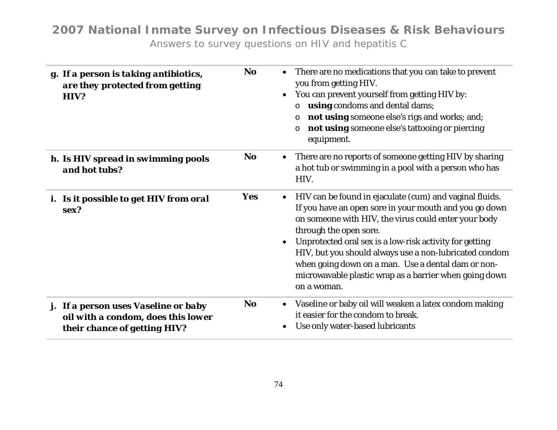| g. If a person is taking antibiotics,<br>are they protected from getting<br>HIV?                           | <b>No</b>  | There are no medications that you can take to prevent<br>you from getting HIV.<br>You can prevent yourself from getting HIV by:<br>using condoms and dental dams;<br>O<br>not using someone else's rigs and works; and;<br>O<br>not using someone else's tattooing or piercing<br>O<br>equipment.                                                                                                                                                       |
|------------------------------------------------------------------------------------------------------------|------------|---------------------------------------------------------------------------------------------------------------------------------------------------------------------------------------------------------------------------------------------------------------------------------------------------------------------------------------------------------------------------------------------------------------------------------------------------------|
| h. Is HIV spread in swimming pools<br>and hot tubs?                                                        | <b>No</b>  | • There are no reports of someone getting HIV by sharing<br>a hot tub or swimming in a pool with a person who has<br>HIV.                                                                                                                                                                                                                                                                                                                               |
| i. Is it possible to get HIV from oral<br>sex?                                                             | <b>Yes</b> | HIV can be found in ejaculate (cum) and vaginal fluids.<br>If you have an open sore in your mouth and you go down<br>on someone with HIV, the virus could enter your body<br>through the open sore.<br>Unprotected oral sex is a low-risk activity for getting<br>HIV, but you should always use a non-lubricated condom<br>when going down on a man. Use a dental dam or non-<br>microwavable plastic wrap as a barrier when going down<br>on a woman. |
| j. If a person uses Vaseline or baby<br>oil with a condom, does this lower<br>their chance of getting HIV? | <b>No</b>  | Vaseline or baby oil will weaken a latex condom making<br>it easier for the condom to break.<br>Use only water-based lubricants                                                                                                                                                                                                                                                                                                                         |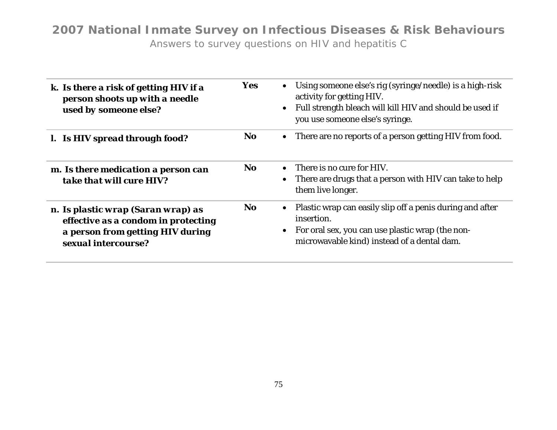| k. Is there a risk of getting HIV if a<br>person shoots up with a needle<br>used by someone else?                                    | <b>Yes</b> | Using someone else's rig (syringe/needle) is a high-risk<br>activity for getting HIV.<br>Full strength bleach will kill HIV and should be used if<br>$\bullet$<br>you use someone else's syringe. |
|--------------------------------------------------------------------------------------------------------------------------------------|------------|---------------------------------------------------------------------------------------------------------------------------------------------------------------------------------------------------|
| 1. Is HIV spread through food?                                                                                                       | No.        | • There are no reports of a person getting HIV from food.                                                                                                                                         |
| m. Is there medication a person can<br>take that will cure HIV?                                                                      | No.        | $\bullet$ There is no cure for HIV.<br>• There are drugs that a person with HIV can take to help<br>them live longer.                                                                             |
| n. Is plastic wrap (Saran wrap) as<br>effective as a condom in protecting<br>a person from getting HIV during<br>sexual intercourse? | No.        | • Plastic wrap can easily slip off a penis during and after<br>insertion.<br>• For oral sex, you can use plastic wrap (the non-<br>microwavable kind) instead of a dental dam.                    |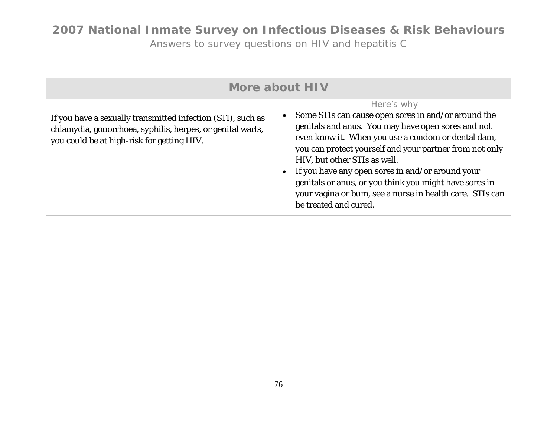| More about HIV                                                                                                                                                          |                                                                                                                                                                                                                                                                                                                                                                                                                                                                                 |  |
|-------------------------------------------------------------------------------------------------------------------------------------------------------------------------|---------------------------------------------------------------------------------------------------------------------------------------------------------------------------------------------------------------------------------------------------------------------------------------------------------------------------------------------------------------------------------------------------------------------------------------------------------------------------------|--|
| If you have a sexually transmitted infection (STI), such as<br>chlamydia, gonorrhoea, syphilis, herpes, or genital warts,<br>you could be at high-risk for getting HIV. | Here's why<br>• Some STIs can cause open sores in and/or around the<br>genitals and anus. You may have open sores and not<br>even know it. When you use a condom or dental dam,<br>you can protect yourself and your partner from not only<br>HIV, but other STIs as well.<br>• If you have any open sores in and/or around your<br>genitals or anus, or you think you might have sores in<br>your vagina or bum, see a nurse in health care. STIs can<br>be treated and cured. |  |
|                                                                                                                                                                         |                                                                                                                                                                                                                                                                                                                                                                                                                                                                                 |  |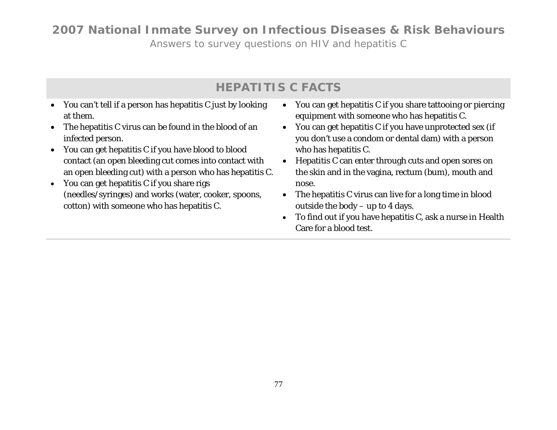*Answers to survey questions on HIV and hepatitis C*

## **HEPATITIS C FACTS**

- You can't tell if a person has hepatitis C just by looking at them.
- The hepatitis C virus can be found in the blood of an infected person.
- You can get hepatitis C if you have blood to blood contact (an open bleeding cut comes into contact with an open bleeding cut) with a person who has hepatitis C.
- You can get hepatitis C if you share rigs (needles/syringes) and works (water, cooker, spoons, cotton) with someone who has hepatitis C.
- You can get hepatitis C if you share tattooing or piercing equipment with someone who has hepatitis C.
- You can get hepatitis C if you have unprotected sex (if you don't use a condom or dental dam) with a person who has hepatitis C.
- Hepatitis C can enter through cuts and open sores on the skin and in the vagina, rectum (bum), mouth and nose.
- The hepatitis C virus can live for a long time in blood outside the body – up to 4 days.
- To find out if you have hepatitis C, ask a nurse in Health Care for a blood test.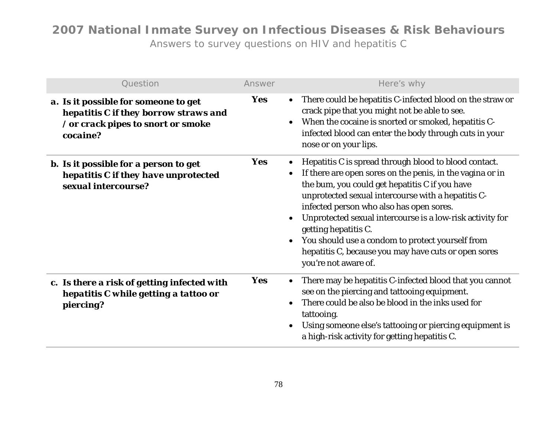| Question                                                                                                                        | Answer     | Here's why                                                                                                                                                                                                                                                                                                                                                                                                                                                                                                   |
|---------------------------------------------------------------------------------------------------------------------------------|------------|--------------------------------------------------------------------------------------------------------------------------------------------------------------------------------------------------------------------------------------------------------------------------------------------------------------------------------------------------------------------------------------------------------------------------------------------------------------------------------------------------------------|
| a. Is it possible for someone to get<br>hepatitis C if they borrow straws and<br>/ or crack pipes to snort or smoke<br>cocaine? | Yes        | There could be hepatitis C-infected blood on the straw or<br>$\bullet$<br>crack pipe that you might not be able to see.<br>When the cocaine is snorted or smoked, hepatitis C-<br>$\bullet$<br>infected blood can enter the body through cuts in your<br>nose or on your lips.                                                                                                                                                                                                                               |
| <b>b.</b> Is it possible for a person to get<br>hepatitis C if they have unprotected<br>sexual intercourse?                     | Yes        | Hepatitis C is spread through blood to blood contact.<br>If there are open sores on the penis, in the vagina or in<br>$\bullet$<br>the bum, you could get hepatitis C if you have<br>unprotected sexual intercourse with a hepatitis C-<br>infected person who also has open sores.<br>Unprotected sexual intercourse is a low-risk activity for<br>getting hepatitis C.<br>You should use a condom to protect yourself from<br>hepatitis C, because you may have cuts or open sores<br>you're not aware of. |
| c. Is there a risk of getting infected with<br>hepatitis C while getting a tattoo or<br>piercing?                               | <b>Yes</b> | There may be hepatitis C-infected blood that you cannot<br>$\bullet$<br>see on the piercing and tattooing equipment.<br>There could be also be blood in the inks used for<br>$\bullet$<br>tattooing.<br>Using someone else's tattooing or piercing equipment is<br>$\bullet$<br>a high-risk activity for getting hepatitis C.                                                                                                                                                                                |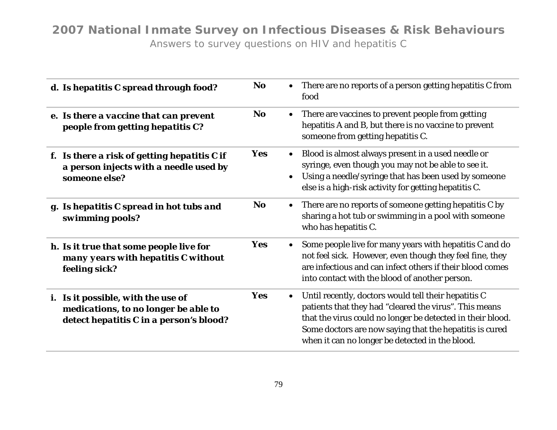| d. Is hepatitis C spread through food?                                                                                       | <b>No</b>  | There are no reports of a person getting hepatitis C from<br>$\bullet$<br>food                                                                                                                                                                                                                          |
|------------------------------------------------------------------------------------------------------------------------------|------------|---------------------------------------------------------------------------------------------------------------------------------------------------------------------------------------------------------------------------------------------------------------------------------------------------------|
| e. Is there a vaccine that can prevent<br>people from getting hepatitis C?                                                   | <b>No</b>  | There are vaccines to prevent people from getting<br>$\bullet$<br>hepatitis A and B, but there is no vaccine to prevent<br>someone from getting hepatitis C.                                                                                                                                            |
| f. Is there a risk of getting hepatitis C if<br>a person injects with a needle used by<br>someone else?                      | <b>Yes</b> | • Blood is almost always present in a used needle or<br>syringe, even though you may not be able to see it.<br>Using a needle/syringe that has been used by someone<br>else is a high-risk activity for getting hepatitis C.                                                                            |
| g. Is hepatitis C spread in hot tubs and<br>swimming pools?                                                                  | <b>No</b>  | • There are no reports of someone getting hepatitis C by<br>sharing a hot tub or swimming in a pool with someone<br>who has hepatitis C.                                                                                                                                                                |
| h. Is it true that some people live for<br>many years with hepatitis C without<br>feeling sick?                              | Yes        | Some people live for many years with hepatitis C and do<br>$\bullet$<br>not feel sick. However, even though they feel fine, they<br>are infectious and can infect others if their blood comes<br>into contact with the blood of another person.                                                         |
| <i>i.</i> Is it possible, with the use of<br>medications, to no longer be able to<br>detect hepatitis C in a person's blood? | Yes        | Until recently, doctors would tell their hepatitis C<br>$\bullet$<br>patients that they had "cleared the virus". This means<br>that the virus could no longer be detected in their blood.<br>Some doctors are now saying that the hepatitis is cured<br>when it can no longer be detected in the blood. |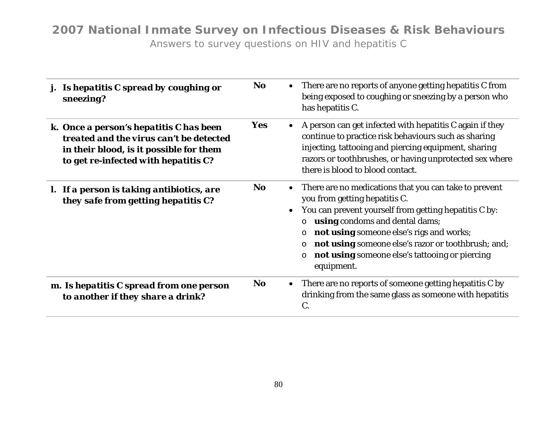| j. Is hepatitis C spread by coughing or<br>sneezing?                                                                                                                  | <b>No</b>  | $\bullet$ | There are no reports of anyone getting hepatitis C from<br>being exposed to coughing or sneezing by a person who<br>has hepatitis C.                                                                                                                                                                                                                                                            |
|-----------------------------------------------------------------------------------------------------------------------------------------------------------------------|------------|-----------|-------------------------------------------------------------------------------------------------------------------------------------------------------------------------------------------------------------------------------------------------------------------------------------------------------------------------------------------------------------------------------------------------|
| k. Once a person's hepatitis C has been<br>treated and the virus can't be detected<br>in their blood, is it possible for them<br>to get re-infected with hepatitis C? | <b>Yes</b> |           | A person can get infected with hepatitis C again if they<br>continue to practice risk behaviours such as sharing<br>injecting, tattooing and piercing equipment, sharing<br>razors or toothbrushes, or having unprotected sex where<br>there is blood to blood contact.                                                                                                                         |
| l. If a person is taking antibiotics, are<br>they safe from getting hepatitis C?                                                                                      | <b>No</b>  | $\bullet$ | There are no medications that you can take to prevent<br>you from getting hepatitis C.<br>You can prevent yourself from getting hepatitis C by:<br>using condoms and dental dams;<br>$\circ$<br>not using someone else's rigs and works;<br>$\circ$<br>not using someone else's razor or toothbrush; and;<br>$\circ$<br>not using someone else's tattooing or piercing<br>$\circ$<br>equipment. |
| m. Is hepatitis C spread from one person<br>to another if they share a drink?                                                                                         | <b>No</b>  | $\bullet$ | There are no reports of someone getting hepatitis C by<br>drinking from the same glass as someone with hepatitis<br>$C_{\cdot}$                                                                                                                                                                                                                                                                 |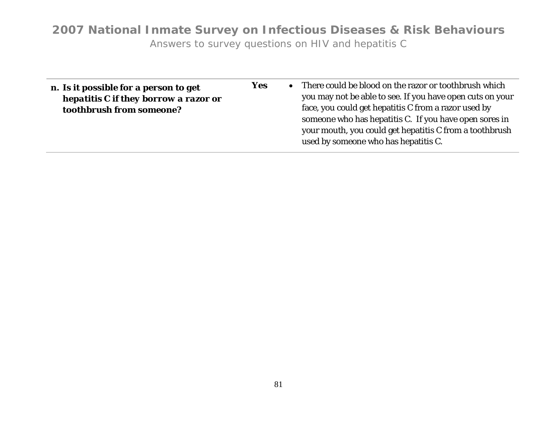| n. Is it possible for a person to get<br>hepatitis C if they borrow a razor or<br>toothbrush from someone? | <b>Yes</b> |  | • There could be blood on the razor or toothbrush which<br>you may not be able to see. If you have open cuts on your<br>face, you could get hepatitis C from a razor used by<br>someone who has hepatitis C. If you have open sores in<br>your mouth, you could get hepatitis C from a toothbrush<br>used by someone who has hepatitis C. |
|------------------------------------------------------------------------------------------------------------|------------|--|-------------------------------------------------------------------------------------------------------------------------------------------------------------------------------------------------------------------------------------------------------------------------------------------------------------------------------------------|
|------------------------------------------------------------------------------------------------------------|------------|--|-------------------------------------------------------------------------------------------------------------------------------------------------------------------------------------------------------------------------------------------------------------------------------------------------------------------------------------------|